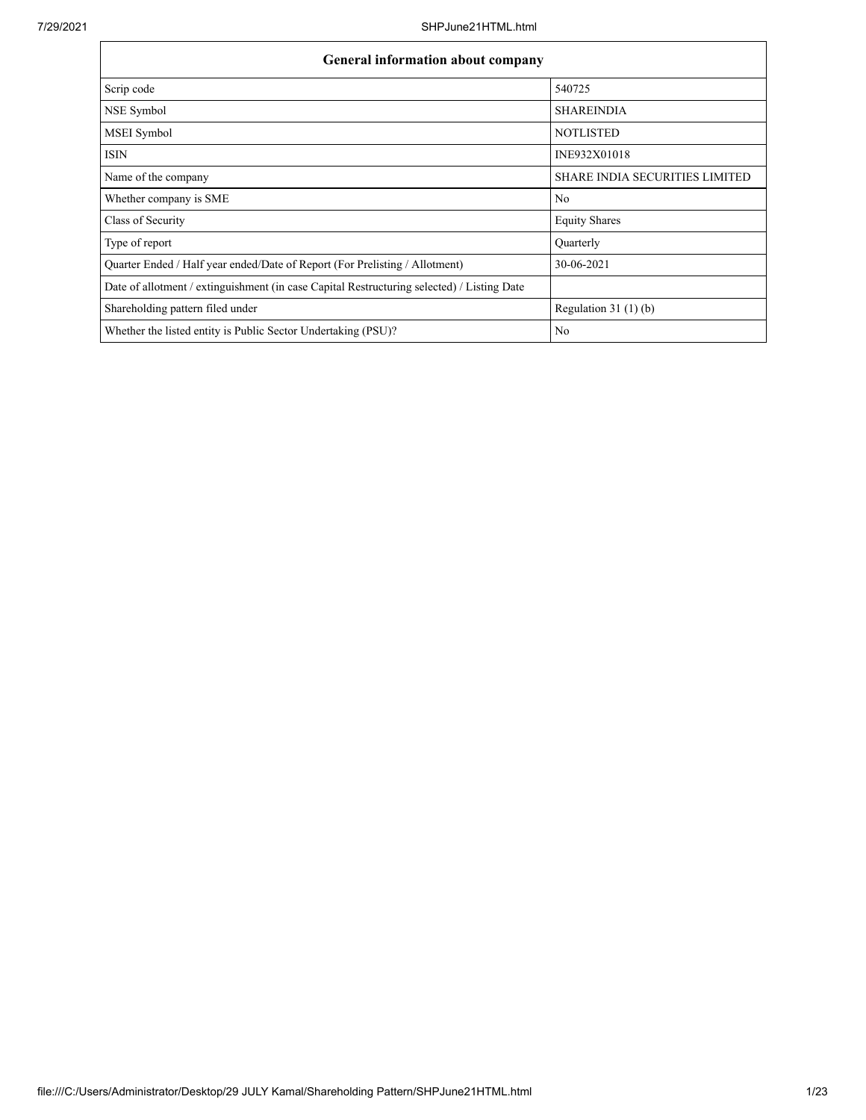| <b>General information about company</b>                                                   |                                       |  |  |  |  |  |  |  |
|--------------------------------------------------------------------------------------------|---------------------------------------|--|--|--|--|--|--|--|
| Scrip code                                                                                 | 540725                                |  |  |  |  |  |  |  |
| NSE Symbol                                                                                 | <b>SHAREINDIA</b>                     |  |  |  |  |  |  |  |
| MSEI Symbol                                                                                | <b>NOTLISTED</b>                      |  |  |  |  |  |  |  |
| <b>ISIN</b>                                                                                | INE932X01018                          |  |  |  |  |  |  |  |
| Name of the company                                                                        | <b>SHARE INDIA SECURITIES LIMITED</b> |  |  |  |  |  |  |  |
| Whether company is SME                                                                     | No                                    |  |  |  |  |  |  |  |
| Class of Security                                                                          | <b>Equity Shares</b>                  |  |  |  |  |  |  |  |
| Type of report                                                                             | Quarterly                             |  |  |  |  |  |  |  |
| Quarter Ended / Half year ended/Date of Report (For Prelisting / Allotment)                | 30-06-2021                            |  |  |  |  |  |  |  |
| Date of allotment / extinguishment (in case Capital Restructuring selected) / Listing Date |                                       |  |  |  |  |  |  |  |
| Shareholding pattern filed under                                                           | Regulation $31(1)(b)$                 |  |  |  |  |  |  |  |
| Whether the listed entity is Public Sector Undertaking (PSU)?                              | No                                    |  |  |  |  |  |  |  |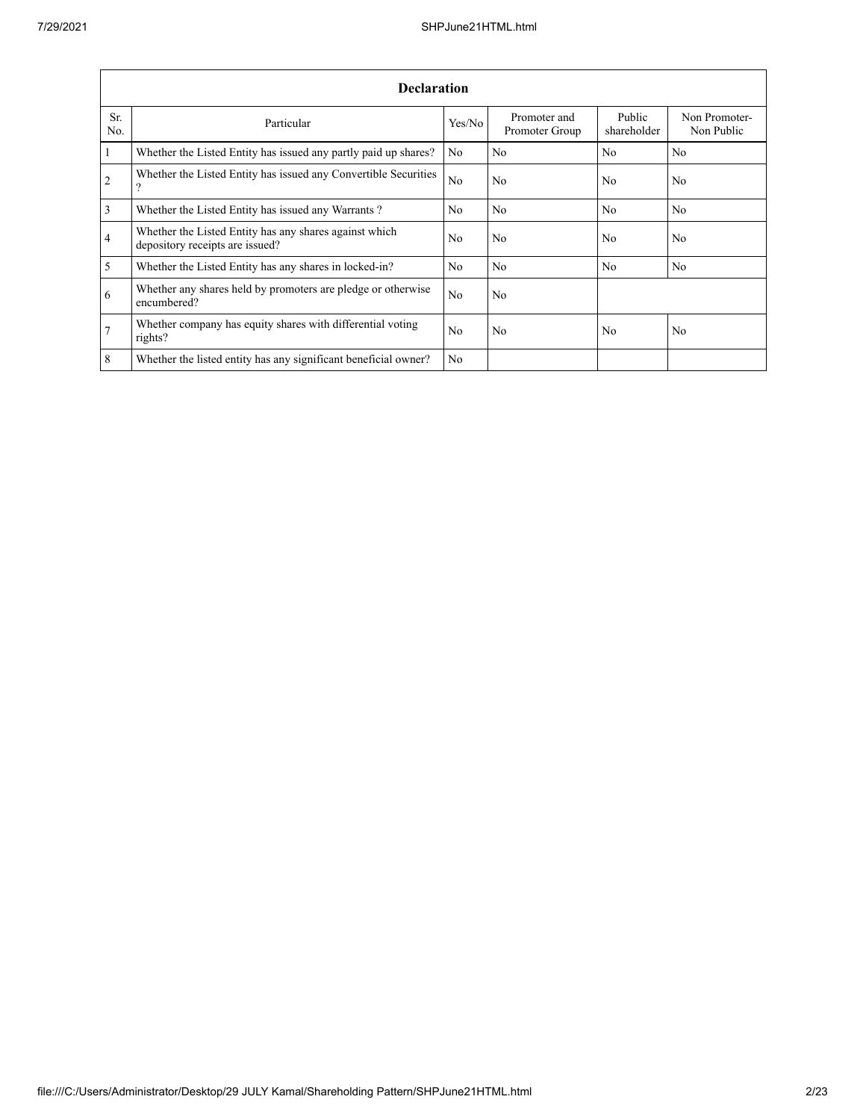|                | <b>Declaration</b>                                                                        |                |                                |                       |                             |  |  |  |  |  |  |  |  |
|----------------|-------------------------------------------------------------------------------------------|----------------|--------------------------------|-----------------------|-----------------------------|--|--|--|--|--|--|--|--|
| Sr.<br>No.     | Particular                                                                                | Yes/No         | Promoter and<br>Promoter Group | Public<br>shareholder | Non Promoter-<br>Non Public |  |  |  |  |  |  |  |  |
| $\mathbf{1}$   | Whether the Listed Entity has issued any partly paid up shares?                           | No             | No                             | No                    | No                          |  |  |  |  |  |  |  |  |
| 2              | Whether the Listed Entity has issued any Convertible Securities<br>?                      | N <sub>0</sub> | N <sub>0</sub>                 | No                    | N <sub>0</sub>              |  |  |  |  |  |  |  |  |
| $\overline{3}$ | Whether the Listed Entity has issued any Warrants?                                        | N <sub>0</sub> | N <sub>o</sub>                 | N <sub>0</sub>        | N <sub>0</sub>              |  |  |  |  |  |  |  |  |
| $\overline{4}$ | Whether the Listed Entity has any shares against which<br>depository receipts are issued? | No.            | No                             | No                    | No                          |  |  |  |  |  |  |  |  |
| $\overline{5}$ | Whether the Listed Entity has any shares in locked-in?                                    | No             | No                             | No                    | No                          |  |  |  |  |  |  |  |  |
| 6              | Whether any shares held by promoters are pledge or otherwise<br>encumbered?               | No             | No                             |                       |                             |  |  |  |  |  |  |  |  |
| $\overline{7}$ | Whether company has equity shares with differential voting<br>rights?                     | N <sub>0</sub> | No                             | No                    | N <sub>0</sub>              |  |  |  |  |  |  |  |  |
| 8              | Whether the listed entity has any significant beneficial owner?                           | N <sub>0</sub> |                                |                       |                             |  |  |  |  |  |  |  |  |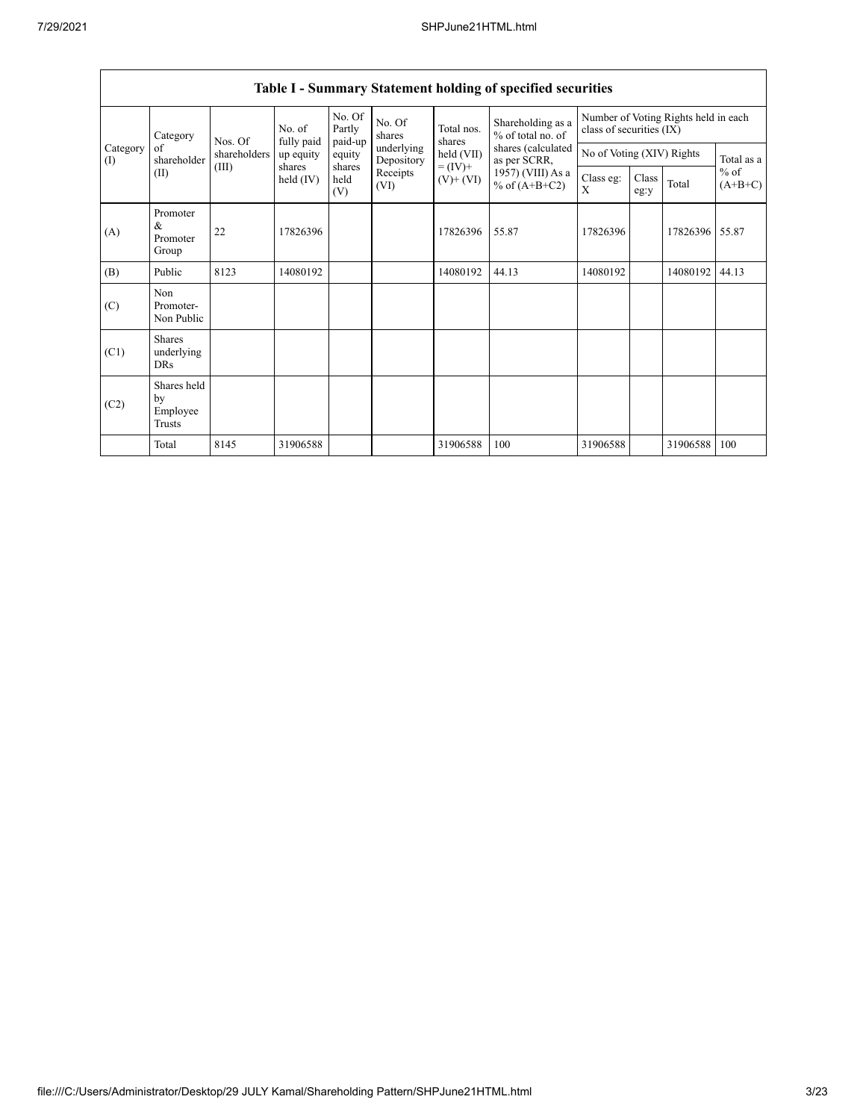|                 | Category                                  | Nos. Of<br>shareholders<br>(III) | No. of<br>fully paid | No. Of<br>Partly<br>paid-up | No. Of<br>shares         | Total nos.<br>shares         | Shareholding as a<br>% of total no. of | class of securities (IX) |                                         | Number of Voting Rights held in each |                     |
|-----------------|-------------------------------------------|----------------------------------|----------------------|-----------------------------|--------------------------|------------------------------|----------------------------------------|--------------------------|-----------------------------------------|--------------------------------------|---------------------|
| Category<br>(I) | of<br>shareholder                         |                                  | up equity            | equity                      | underlying<br>Depository | held (VII)                   | shares (calculated<br>as per SCRR,     |                          | No of Voting (XIV) Rights<br>Total as a |                                      |                     |
|                 | (II)                                      |                                  | shares<br>held (IV)  | shares<br>held<br>(V)       | Receipts<br>(VI)         | $= (IV) +$<br>$(V)$ + $(VI)$ | 1957) (VIII) As a<br>% of $(A+B+C2)$   | Class eg:<br>X           | Class<br>eg:y                           | Total                                | $%$ of<br>$(A+B+C)$ |
| (A)             | Promoter<br>&<br>Promoter<br>Group        | 22                               | 17826396             |                             |                          | 17826396                     | 55.87                                  | 17826396                 |                                         | 17826396                             | 55.87               |
| (B)             | Public                                    | 8123                             | 14080192             |                             |                          | 14080192                     | 44.13                                  | 14080192                 |                                         | 14080192                             | 44.13               |
| (C)             | Non<br>Promoter-<br>Non Public            |                                  |                      |                             |                          |                              |                                        |                          |                                         |                                      |                     |
| (C1)            | <b>Shares</b><br>underlying<br><b>DRs</b> |                                  |                      |                             |                          |                              |                                        |                          |                                         |                                      |                     |
| (C2)            | Shares held<br>by<br>Employee<br>Trusts   |                                  |                      |                             |                          |                              |                                        |                          |                                         |                                      |                     |
|                 | Total                                     | 8145                             | 31906588             |                             |                          | 31906588                     | 100                                    | 31906588                 |                                         | 31906588                             | 100                 |

## **Table I - Summary Statement holding of specified securities**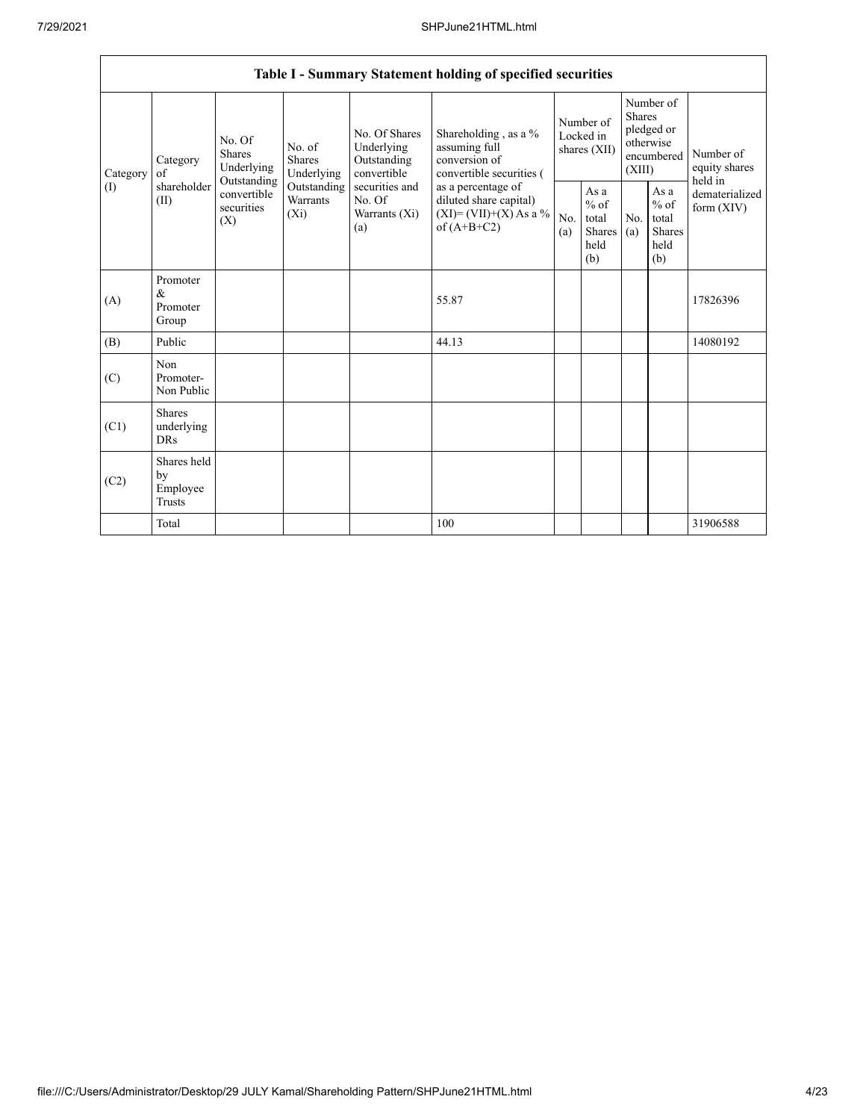|                 |                                           |                                                                                                                                                                  |  |                                                           | Table I - Summary Statement holding of specified securities                              |                                        |                                                  |                                                                               |                                                         |                                       |
|-----------------|-------------------------------------------|------------------------------------------------------------------------------------------------------------------------------------------------------------------|--|-----------------------------------------------------------|------------------------------------------------------------------------------------------|----------------------------------------|--------------------------------------------------|-------------------------------------------------------------------------------|---------------------------------------------------------|---------------------------------------|
| Category<br>(1) | Category<br>of                            | No. Of<br>No. of<br><b>Shares</b><br>Shares<br>Underlying<br>Underlying<br>Outstanding<br>Outstanding<br>convertible<br>Warrants<br>securities<br>$(X_i)$<br>(X) |  | No. Of Shares<br>Underlying<br>Outstanding<br>convertible | Shareholding, as a %<br>assuming full<br>conversion of<br>convertible securities (       | Number of<br>Locked in<br>shares (XII) |                                                  | Number of<br><b>Shares</b><br>pledged or<br>otherwise<br>encumbered<br>(XIII) |                                                         | Number of<br>equity shares<br>held in |
|                 | shareholder<br>(II)                       |                                                                                                                                                                  |  | securities and<br>No. Of<br>Warrants (Xi)<br>(a)          | as a percentage of<br>diluted share capital)<br>$(XI)=(VII)+(X) As a %$<br>of $(A+B+C2)$ | No.<br>(a)                             | As a<br>$%$ of<br>total<br>Shares<br>held<br>(b) | No.<br>(a)                                                                    | As a<br>$%$ of<br>total<br><b>Shares</b><br>held<br>(b) | dematerialized<br>form $(XIV)$        |
| (A)             | Promoter<br>&<br>Promoter<br>Group        |                                                                                                                                                                  |  |                                                           | 55.87                                                                                    |                                        |                                                  |                                                                               |                                                         | 17826396                              |
| (B)             | Public                                    |                                                                                                                                                                  |  |                                                           | 44.13                                                                                    |                                        |                                                  |                                                                               |                                                         | 14080192                              |
| (C)             | Non<br>Promoter-<br>Non Public            |                                                                                                                                                                  |  |                                                           |                                                                                          |                                        |                                                  |                                                                               |                                                         |                                       |
| (C1)            | <b>Shares</b><br>underlying<br><b>DRs</b> |                                                                                                                                                                  |  |                                                           |                                                                                          |                                        |                                                  |                                                                               |                                                         |                                       |
| (C2)            | Shares held<br>by<br>Employee<br>Trusts   |                                                                                                                                                                  |  |                                                           |                                                                                          |                                        |                                                  |                                                                               |                                                         |                                       |
|                 | Total                                     |                                                                                                                                                                  |  |                                                           | 100                                                                                      |                                        |                                                  |                                                                               |                                                         | 31906588                              |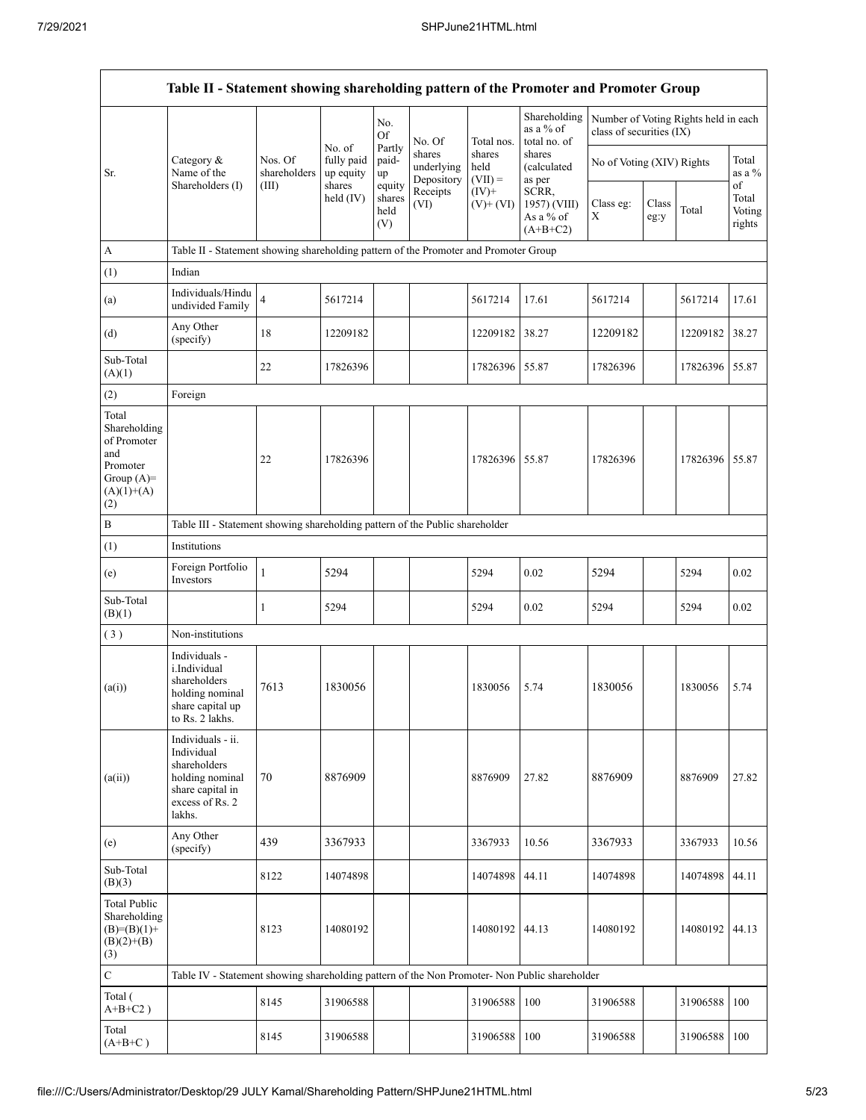|                                                                                                | Table II - Statement showing shareholding pattern of the Promoter and Promoter Group                                |                         |                                   |                                 |                                    |                             |                                                  |                           |                                                                  |          |                                 |  |
|------------------------------------------------------------------------------------------------|---------------------------------------------------------------------------------------------------------------------|-------------------------|-----------------------------------|---------------------------------|------------------------------------|-----------------------------|--------------------------------------------------|---------------------------|------------------------------------------------------------------|----------|---------------------------------|--|
|                                                                                                |                                                                                                                     |                         |                                   | No.<br><b>Of</b>                | No. Of                             | Total nos.                  | Shareholding<br>as a % of<br>total no. of        |                           | Number of Voting Rights held in each<br>class of securities (IX) |          |                                 |  |
| Sr.                                                                                            | Category &<br>Name of the                                                                                           | Nos. Of<br>shareholders | No. of<br>fully paid<br>up equity | Partly<br>paid-<br>up           | shares<br>underlying<br>Depository | shares<br>held<br>$(VII) =$ | shares<br>(calculated<br>as per                  | No of Voting (XIV) Rights |                                                                  |          | Total<br>as a %                 |  |
|                                                                                                | Shareholders (I)                                                                                                    | (III)                   | shares<br>held (IV)               | equity<br>shares<br>held<br>(V) | Receipts<br>(VI)                   | $(IV)+$<br>$(V)$ + $(VI)$   | SCRR,<br>1957) (VIII)<br>As a % of<br>$(A+B+C2)$ | Class eg:<br>X            | Class<br>eg:y                                                    | Total    | of<br>Total<br>Voting<br>rights |  |
| A                                                                                              | Table II - Statement showing shareholding pattern of the Promoter and Promoter Group                                |                         |                                   |                                 |                                    |                             |                                                  |                           |                                                                  |          |                                 |  |
| (1)                                                                                            | Indian                                                                                                              |                         |                                   |                                 |                                    |                             |                                                  |                           |                                                                  |          |                                 |  |
| (a)                                                                                            | Individuals/Hindu<br>undivided Family                                                                               | $\overline{\mathbf{4}}$ | 5617214                           |                                 |                                    | 5617214                     | 17.61                                            | 5617214                   |                                                                  | 5617214  | 17.61                           |  |
| (d)                                                                                            | Any Other<br>(specify)                                                                                              | 18                      | 12209182                          |                                 |                                    | 12209182                    | 38.27                                            | 12209182                  |                                                                  | 12209182 | 38.27                           |  |
| Sub-Total<br>(A)(1)                                                                            |                                                                                                                     | 22                      | 17826396                          |                                 |                                    | 17826396 55.87              |                                                  | 17826396                  |                                                                  | 17826396 | 55.87                           |  |
| (2)                                                                                            | Foreign                                                                                                             |                         |                                   |                                 |                                    |                             |                                                  |                           |                                                                  |          |                                 |  |
| Total<br>Shareholding<br>of Promoter<br>and<br>Promoter<br>Group $(A)=$<br>$(A)(1)+(A)$<br>(2) |                                                                                                                     | 22                      | 17826396                          |                                 |                                    | 17826396 55.87              |                                                  | 17826396                  |                                                                  | 17826396 | 55.87                           |  |
| B                                                                                              | Table III - Statement showing shareholding pattern of the Public shareholder                                        |                         |                                   |                                 |                                    |                             |                                                  |                           |                                                                  |          |                                 |  |
| (1)                                                                                            | Institutions                                                                                                        |                         |                                   |                                 |                                    |                             |                                                  |                           |                                                                  |          |                                 |  |
| (e)                                                                                            | Foreign Portfolio<br>Investors                                                                                      | $\mathbf{1}$            | 5294                              |                                 |                                    | 5294                        | 0.02                                             | 5294                      |                                                                  | 5294     | 0.02                            |  |
| Sub-Total<br>(B)(1)                                                                            |                                                                                                                     | 1                       | 5294                              |                                 |                                    | 5294                        | 0.02                                             | 5294                      |                                                                  | 5294     | 0.02                            |  |
| (3)                                                                                            | Non-institutions                                                                                                    |                         |                                   |                                 |                                    |                             |                                                  |                           |                                                                  |          |                                 |  |
| (a(i))                                                                                         | Individuals -<br>i.Individual<br>shareholders<br>holding nominal<br>share capital up<br>to Rs. 2 lakhs.             | 7613                    | 1830056                           |                                 |                                    | 1830056                     | 5.74                                             | 1830056                   |                                                                  | 1830056  | 5.74                            |  |
| (a(ii))                                                                                        | Individuals - ii.<br>Individual<br>shareholders<br>holding nominal<br>share capital in<br>excess of Rs. 2<br>lakhs. | 70                      | 8876909                           |                                 |                                    | 8876909                     | 27.82                                            | 8876909                   |                                                                  | 8876909  | 27.82                           |  |
| (e)                                                                                            | Any Other<br>(specify)                                                                                              | 439                     | 3367933                           |                                 |                                    | 3367933                     | 10.56                                            | 3367933                   |                                                                  | 3367933  | 10.56                           |  |
| Sub-Total<br>(B)(3)                                                                            |                                                                                                                     | 8122                    | 14074898                          |                                 |                                    | 14074898                    | 44.11                                            | 14074898                  |                                                                  | 14074898 | 44.11                           |  |
| <b>Total Public</b><br>Shareholding<br>$(B)=(B)(1)+$<br>$(B)(2)+(B)$<br>(3)                    |                                                                                                                     | 8123                    | 14080192                          |                                 |                                    | 14080192 44.13              |                                                  | 14080192                  |                                                                  | 14080192 | 44.13                           |  |
| $\mathbf C$                                                                                    | Table IV - Statement showing shareholding pattern of the Non Promoter- Non Public shareholder                       |                         |                                   |                                 |                                    |                             |                                                  |                           |                                                                  |          |                                 |  |
| Total (<br>$A+B+C2$ )                                                                          |                                                                                                                     | 8145                    | 31906588                          |                                 |                                    | 31906588                    | 100                                              | 31906588                  |                                                                  | 31906588 | 100                             |  |
| Total<br>$(A+B+C)$                                                                             |                                                                                                                     | 8145                    | 31906588                          |                                 |                                    | 31906588                    | 100                                              | 31906588                  |                                                                  | 31906588 | 100                             |  |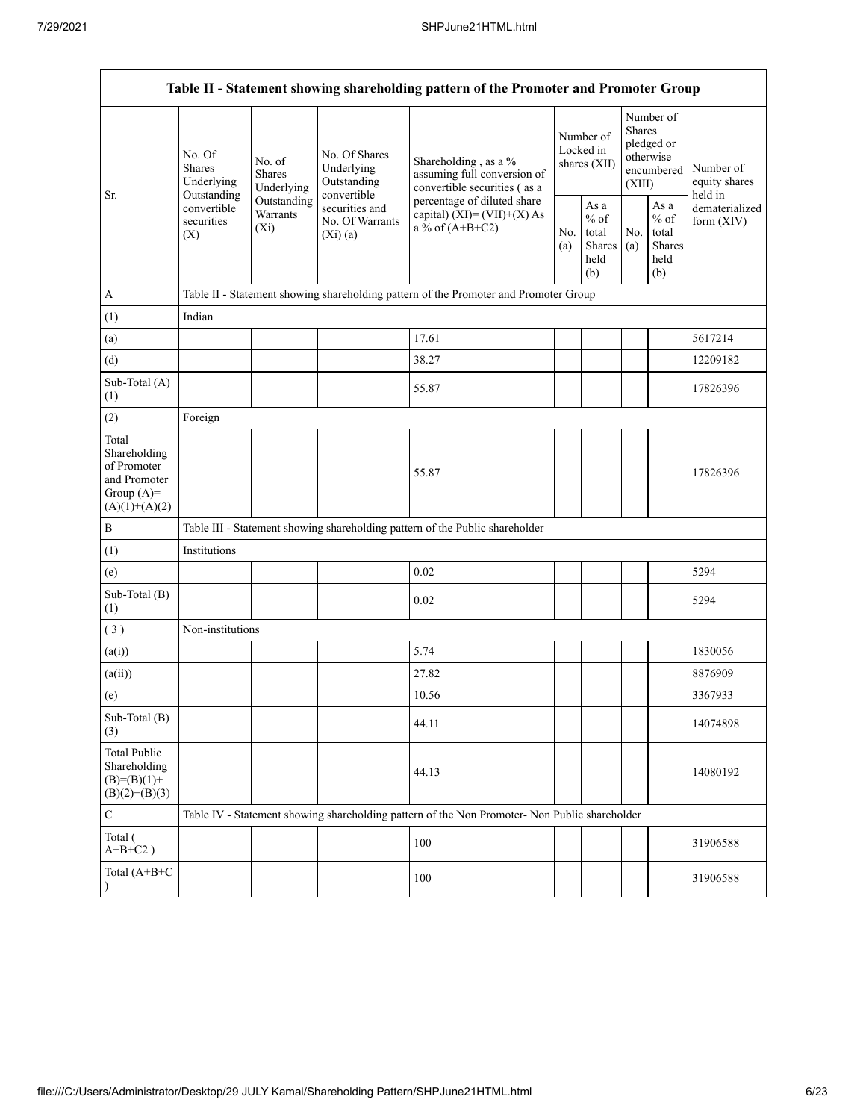| Table II - Statement showing shareholding pattern of the Promoter and Promoter Group    |                                                 |                                       |                                                           |                                                                                               |                                        |                                                  |                                                                        |                                                  |                                       |  |  |  |
|-----------------------------------------------------------------------------------------|-------------------------------------------------|---------------------------------------|-----------------------------------------------------------|-----------------------------------------------------------------------------------------------|----------------------------------------|--------------------------------------------------|------------------------------------------------------------------------|--------------------------------------------------|---------------------------------------|--|--|--|
|                                                                                         | No. Of<br>Shares<br>Underlying                  | No. of<br><b>Shares</b><br>Underlying | No. Of Shares<br>Underlying<br>Outstanding<br>convertible | Shareholding, as a %<br>assuming full conversion of<br>convertible securities (as a           | Number of<br>Locked in<br>shares (XII) |                                                  | Number of<br>Shares<br>pledged or<br>otherwise<br>encumbered<br>(XIII) |                                                  | Number of<br>equity shares<br>held in |  |  |  |
| Sr.                                                                                     | Outstanding<br>convertible<br>securities<br>(X) | Outstanding<br>Warrants<br>$(X_i)$    | securities and<br>No. Of Warrants<br>$(Xi)$ (a)           | percentage of diluted share<br>capital) $(XI) = (VII)+(X) As$<br>a % of $(A+B+C2)$            | No.<br>(a)                             | As a<br>$%$ of<br>total<br>Shares<br>held<br>(b) | No.<br>(a)                                                             | As a<br>$%$ of<br>total<br>Shares<br>held<br>(b) | dematerialized<br>form (XIV)          |  |  |  |
| $\mathbf{A}$                                                                            |                                                 |                                       |                                                           | Table II - Statement showing shareholding pattern of the Promoter and Promoter Group          |                                        |                                                  |                                                                        |                                                  |                                       |  |  |  |
| (1)                                                                                     | Indian                                          |                                       |                                                           |                                                                                               |                                        |                                                  |                                                                        |                                                  |                                       |  |  |  |
| (a)                                                                                     |                                                 |                                       |                                                           | 17.61                                                                                         |                                        |                                                  |                                                                        |                                                  | 5617214                               |  |  |  |
| (d)                                                                                     |                                                 |                                       |                                                           | 38.27                                                                                         |                                        |                                                  |                                                                        |                                                  | 12209182                              |  |  |  |
| Sub-Total (A)<br>(1)                                                                    |                                                 |                                       |                                                           | 55.87                                                                                         |                                        |                                                  |                                                                        |                                                  | 17826396                              |  |  |  |
| (2)                                                                                     | Foreign                                         |                                       |                                                           |                                                                                               |                                        |                                                  |                                                                        |                                                  |                                       |  |  |  |
| Total<br>Shareholding<br>of Promoter<br>and Promoter<br>Group $(A)=$<br>$(A)(1)+(A)(2)$ |                                                 |                                       |                                                           | 55.87                                                                                         |                                        |                                                  |                                                                        |                                                  | 17826396                              |  |  |  |
| $\, {\bf B}$                                                                            |                                                 |                                       |                                                           | Table III - Statement showing shareholding pattern of the Public shareholder                  |                                        |                                                  |                                                                        |                                                  |                                       |  |  |  |
| (1)                                                                                     | Institutions                                    |                                       |                                                           |                                                                                               |                                        |                                                  |                                                                        |                                                  |                                       |  |  |  |
| (e)                                                                                     |                                                 |                                       |                                                           | 0.02                                                                                          |                                        |                                                  |                                                                        |                                                  | 5294                                  |  |  |  |
| Sub-Total (B)<br>(1)                                                                    |                                                 |                                       |                                                           | 0.02                                                                                          |                                        |                                                  |                                                                        |                                                  | 5294                                  |  |  |  |
| (3)                                                                                     | Non-institutions                                |                                       |                                                           |                                                                                               |                                        |                                                  |                                                                        |                                                  |                                       |  |  |  |
| (a(i))                                                                                  |                                                 |                                       |                                                           | 5.74                                                                                          |                                        |                                                  |                                                                        |                                                  | 1830056                               |  |  |  |
| (a(ii))                                                                                 |                                                 |                                       |                                                           | 27.82                                                                                         |                                        |                                                  |                                                                        |                                                  | 8876909                               |  |  |  |
| (e)                                                                                     |                                                 |                                       |                                                           | 10.56                                                                                         |                                        |                                                  |                                                                        |                                                  | 3367933                               |  |  |  |
| Sub-Total (B)<br>(3)                                                                    |                                                 |                                       |                                                           | 44.11                                                                                         |                                        |                                                  |                                                                        |                                                  | 14074898                              |  |  |  |
| <b>Total Public</b><br>Shareholding<br>$(B)=(B)(1)+$<br>$(B)(2)+(B)(3)$                 |                                                 |                                       |                                                           | 44.13                                                                                         |                                        |                                                  |                                                                        |                                                  | 14080192                              |  |  |  |
| $\mathbf C$                                                                             |                                                 |                                       |                                                           | Table IV - Statement showing shareholding pattern of the Non Promoter- Non Public shareholder |                                        |                                                  |                                                                        |                                                  |                                       |  |  |  |
| Total (<br>$A+B+C2$ )                                                                   |                                                 |                                       |                                                           | 100                                                                                           |                                        |                                                  |                                                                        |                                                  | 31906588                              |  |  |  |
| Total (A+B+C<br>$\mathcal{E}$                                                           |                                                 |                                       |                                                           | 100                                                                                           |                                        |                                                  |                                                                        |                                                  | 31906588                              |  |  |  |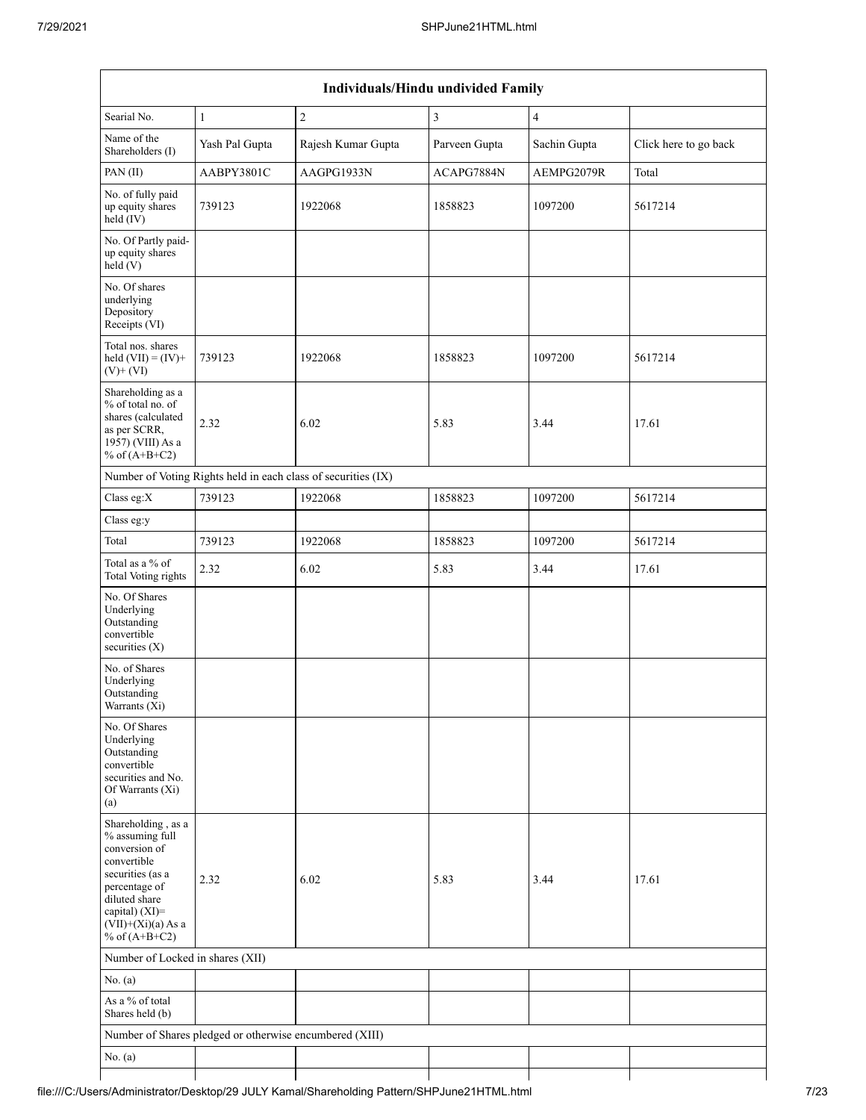| Individuals/Hindu undivided Family                                                                                                                                                       |                                                         |                                                               |               |                |                       |  |  |  |  |  |  |
|------------------------------------------------------------------------------------------------------------------------------------------------------------------------------------------|---------------------------------------------------------|---------------------------------------------------------------|---------------|----------------|-----------------------|--|--|--|--|--|--|
| Searial No.                                                                                                                                                                              | $\mathbf{1}$                                            | $\sqrt{2}$                                                    | 3             | $\overline{4}$ |                       |  |  |  |  |  |  |
| Name of the<br>Shareholders (I)                                                                                                                                                          | Yash Pal Gupta                                          | Rajesh Kumar Gupta                                            | Parveen Gupta | Sachin Gupta   | Click here to go back |  |  |  |  |  |  |
| PAN (II)                                                                                                                                                                                 | AABPY3801C                                              | AAGPG1933N                                                    | ACAPG7884N    | AEMPG2079R     | Total                 |  |  |  |  |  |  |
| No. of fully paid<br>up equity shares<br>$held$ (IV)                                                                                                                                     | 739123                                                  | 1922068                                                       | 1858823       | 1097200        | 5617214               |  |  |  |  |  |  |
| No. Of Partly paid-<br>up equity shares<br>held(V)                                                                                                                                       |                                                         |                                                               |               |                |                       |  |  |  |  |  |  |
| No. Of shares<br>underlying<br>Depository<br>Receipts (VI)                                                                                                                               |                                                         |                                                               |               |                |                       |  |  |  |  |  |  |
| Total nos. shares<br>held $(VII) = (IV) +$<br>$(V)$ + $(VI)$                                                                                                                             | 739123                                                  | 1922068                                                       | 1858823       | 1097200        | 5617214               |  |  |  |  |  |  |
| Shareholding as a<br>% of total no. of<br>shares (calculated<br>as per SCRR,<br>1957) (VIII) As a<br>% of $(A+B+C2)$                                                                     | 2.32                                                    | 6.02                                                          | 5.83          | 3.44           | 17.61                 |  |  |  |  |  |  |
|                                                                                                                                                                                          |                                                         | Number of Voting Rights held in each class of securities (IX) |               |                |                       |  |  |  |  |  |  |
| Class eg:X                                                                                                                                                                               | 739123                                                  | 1922068                                                       | 1858823       | 1097200        | 5617214               |  |  |  |  |  |  |
| Class eg:y                                                                                                                                                                               |                                                         |                                                               |               |                |                       |  |  |  |  |  |  |
| Total                                                                                                                                                                                    | 739123                                                  | 1922068                                                       | 1858823       | 1097200        | 5617214               |  |  |  |  |  |  |
| Total as a % of<br>Total Voting rights                                                                                                                                                   | 2.32                                                    | 6.02                                                          | 5.83          | 3.44           | 17.61                 |  |  |  |  |  |  |
| No. Of Shares<br>Underlying<br>Outstanding<br>convertible<br>securities $(X)$                                                                                                            |                                                         |                                                               |               |                |                       |  |  |  |  |  |  |
| No. of Shares<br>Underlying<br>Outstanding<br>Warrants (Xi)                                                                                                                              |                                                         |                                                               |               |                |                       |  |  |  |  |  |  |
| No. Of Shares<br>Underlying<br>Outstanding<br>convertible<br>securities and No.<br>Of Warrants (Xi)<br>(a)                                                                               |                                                         |                                                               |               |                |                       |  |  |  |  |  |  |
| Shareholding, as a<br>% assuming full<br>conversion of<br>convertible<br>securities (as a<br>percentage of<br>diluted share<br>capital) (XI)=<br>$(VII)+(Xi)(a)$ As a<br>% of $(A+B+C2)$ | 2.32                                                    | 6.02                                                          | 5.83          | 3.44           | 17.61                 |  |  |  |  |  |  |
| Number of Locked in shares (XII)                                                                                                                                                         |                                                         |                                                               |               |                |                       |  |  |  |  |  |  |
| No. (a)                                                                                                                                                                                  |                                                         |                                                               |               |                |                       |  |  |  |  |  |  |
| As a % of total<br>Shares held (b)                                                                                                                                                       |                                                         |                                                               |               |                |                       |  |  |  |  |  |  |
|                                                                                                                                                                                          | Number of Shares pledged or otherwise encumbered (XIII) |                                                               |               |                |                       |  |  |  |  |  |  |
| No. (a)                                                                                                                                                                                  |                                                         |                                                               |               |                |                       |  |  |  |  |  |  |
|                                                                                                                                                                                          |                                                         |                                                               |               |                |                       |  |  |  |  |  |  |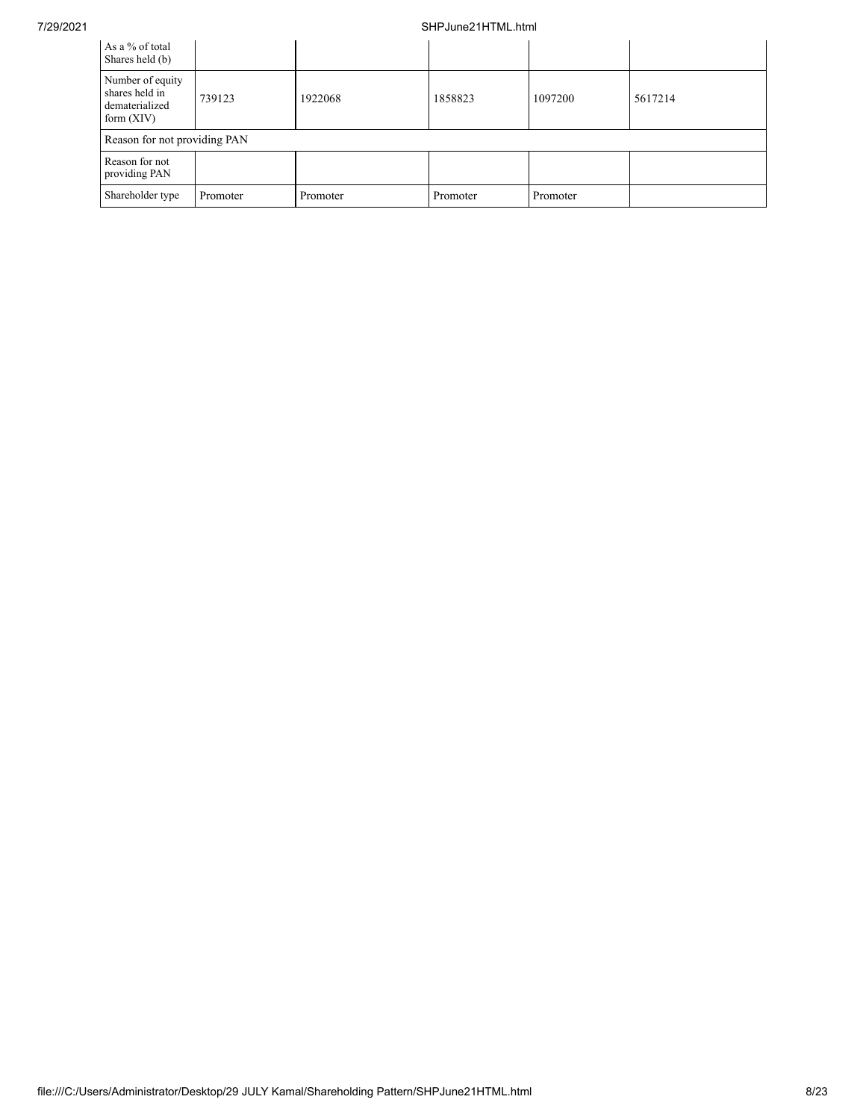## 7/29/2021 SHPJune21HTML.html

| As a % of total<br>Shares held (b)                                   |          |          |          |          |         |
|----------------------------------------------------------------------|----------|----------|----------|----------|---------|
| Number of equity<br>shares held in<br>dematerialized<br>form $(XIV)$ | 739123   | 1922068  | 1858823  | 1097200  | 5617214 |
| Reason for not providing PAN                                         |          |          |          |          |         |
| Reason for not<br>providing PAN                                      |          |          |          |          |         |
| Shareholder type                                                     | Promoter | Promoter | Promoter | Promoter |         |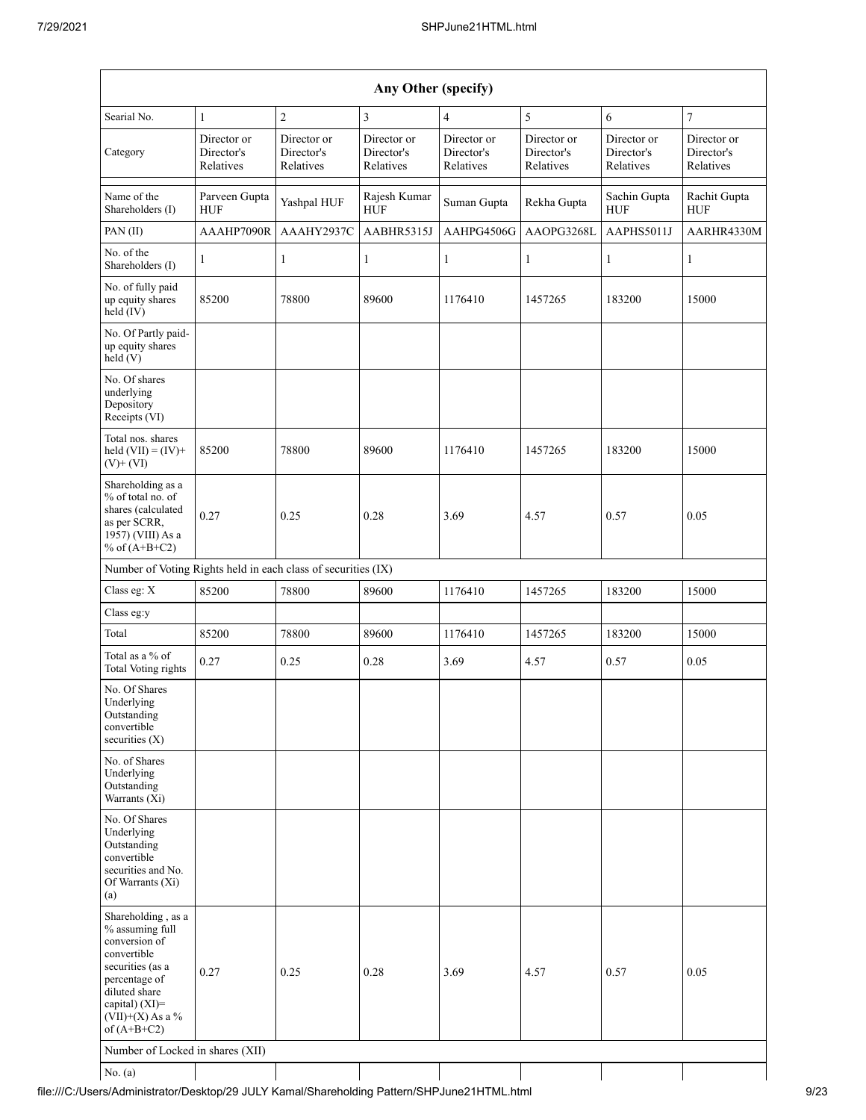| Any Other (specify)                                                                                                                                                                  |                                        |                                        |                                        |                                        |                                        |                                        |                                        |  |  |  |  |
|--------------------------------------------------------------------------------------------------------------------------------------------------------------------------------------|----------------------------------------|----------------------------------------|----------------------------------------|----------------------------------------|----------------------------------------|----------------------------------------|----------------------------------------|--|--|--|--|
| Searial No.                                                                                                                                                                          | $\mathbf{1}$                           | $\sqrt{2}$                             | 3                                      | $\overline{4}$                         | 5                                      | 6                                      | $\tau$                                 |  |  |  |  |
| Category                                                                                                                                                                             | Director or<br>Director's<br>Relatives | Director or<br>Director's<br>Relatives | Director or<br>Director's<br>Relatives | Director or<br>Director's<br>Relatives | Director or<br>Director's<br>Relatives | Director or<br>Director's<br>Relatives | Director or<br>Director's<br>Relatives |  |  |  |  |
| Name of the<br>Shareholders (I)                                                                                                                                                      | Parveen Gupta<br><b>HUF</b>            | Yashpal HUF                            | Rajesh Kumar<br><b>HUF</b>             | Suman Gupta                            | Rekha Gupta                            | Sachin Gupta<br><b>HUF</b>             | Rachit Gupta<br>HUF                    |  |  |  |  |
| PAN (II)                                                                                                                                                                             | AAAHP7090R                             | AAAHY2937C                             | AABHR5315J                             | AAHPG4506G                             | AAOPG3268L                             | AAPHS5011J                             | AARHR4330M                             |  |  |  |  |
| No. of the<br>Shareholders (I)                                                                                                                                                       | $\mathbf{1}$                           | $\mathbf{1}$                           | $\mathbf{1}$                           | $\mathbf{1}$                           | $\mathbf{1}$                           | $\mathbf{1}$                           | $\mathbf{1}$                           |  |  |  |  |
| No. of fully paid<br>up equity shares<br>held (IV)                                                                                                                                   | 85200                                  | 78800                                  | 89600                                  | 1176410                                | 1457265                                | 183200                                 | 15000                                  |  |  |  |  |
| No. Of Partly paid-<br>up equity shares<br>held(V)                                                                                                                                   |                                        |                                        |                                        |                                        |                                        |                                        |                                        |  |  |  |  |
| No. Of shares<br>underlying<br>Depository<br>Receipts (VI)                                                                                                                           |                                        |                                        |                                        |                                        |                                        |                                        |                                        |  |  |  |  |
| Total nos. shares<br>held $(VII) = (IV) +$<br>$(V)$ + $(VI)$                                                                                                                         | 85200                                  | 78800                                  | 89600                                  | 1176410                                | 1457265                                | 183200                                 | 15000                                  |  |  |  |  |
| Shareholding as a<br>% of total no. of<br>shares (calculated<br>as per SCRR,<br>1957) (VIII) As a<br>% of $(A+B+C2)$                                                                 | 0.27                                   | 0.25                                   | 0.28                                   | 3.69                                   | 4.57                                   | 0.57                                   | 0.05                                   |  |  |  |  |
| Number of Voting Rights held in each class of securities (IX)                                                                                                                        |                                        |                                        |                                        |                                        |                                        |                                        |                                        |  |  |  |  |
| Class eg: X                                                                                                                                                                          | 85200                                  | 78800                                  | 89600                                  | 1176410                                | 1457265                                | 183200                                 | 15000                                  |  |  |  |  |
| Class eg:y                                                                                                                                                                           |                                        |                                        |                                        |                                        |                                        |                                        |                                        |  |  |  |  |
| Total                                                                                                                                                                                | 85200                                  | 78800                                  | 89600                                  | 1176410                                | 1457265                                | 183200                                 | 15000                                  |  |  |  |  |
| Total as a % of<br>Total Voting rights                                                                                                                                               | 0.27                                   | 0.25                                   | 0.28                                   | 3.69                                   | 4.57                                   | 0.57                                   | 0.05                                   |  |  |  |  |
| No. Of Shares<br>Underlying<br>Outstanding<br>convertible<br>securities $(X)$                                                                                                        |                                        |                                        |                                        |                                        |                                        |                                        |                                        |  |  |  |  |
| No. of Shares<br>Underlying<br>Outstanding<br>Warrants (Xi)                                                                                                                          |                                        |                                        |                                        |                                        |                                        |                                        |                                        |  |  |  |  |
| No. Of Shares<br>Underlying<br>Outstanding<br>convertible<br>securities and No.<br>Of Warrants (Xi)<br>(a)                                                                           |                                        |                                        |                                        |                                        |                                        |                                        |                                        |  |  |  |  |
| Shareholding, as a<br>% assuming full<br>conversion of<br>convertible<br>securities (as a<br>percentage of<br>diluted share<br>capital) (XI)=<br>$(VII)+(X)$ As a %<br>of $(A+B+C2)$ | 0.27                                   | 0.25                                   | 0.28                                   | 3.69                                   | 4.57                                   | 0.57                                   | 0.05                                   |  |  |  |  |
| Number of Locked in shares (XII)                                                                                                                                                     |                                        |                                        |                                        |                                        |                                        |                                        |                                        |  |  |  |  |
| No. $(a)$                                                                                                                                                                            |                                        |                                        |                                        |                                        |                                        |                                        |                                        |  |  |  |  |

file:///C:/Users/Administrator/Desktop/29 JULY Kamal/Shareholding Pattern/SHPJune21HTML.html 9/23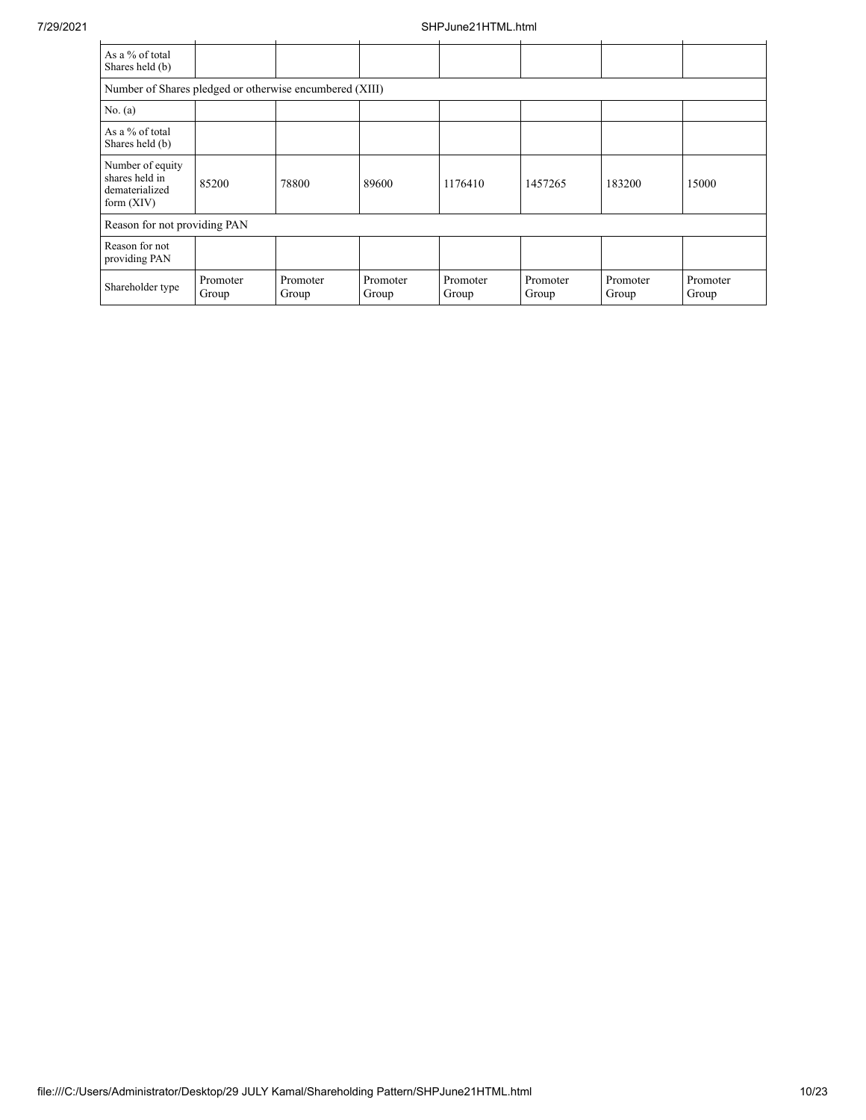| As a % of total<br>Shares held (b)                                   |                   |                   |                   |                   |                   |                   |                   |
|----------------------------------------------------------------------|-------------------|-------------------|-------------------|-------------------|-------------------|-------------------|-------------------|
| Number of Shares pledged or otherwise encumbered (XIII)              |                   |                   |                   |                   |                   |                   |                   |
| No. $(a)$                                                            |                   |                   |                   |                   |                   |                   |                   |
| As a $%$ of total<br>Shares held (b)                                 |                   |                   |                   |                   |                   |                   |                   |
| Number of equity<br>shares held in<br>dematerialized<br>form $(XIV)$ | 85200             | 78800             | 89600             | 1176410           | 1457265           | 183200            | 15000             |
| Reason for not providing PAN                                         |                   |                   |                   |                   |                   |                   |                   |
| Reason for not<br>providing PAN                                      |                   |                   |                   |                   |                   |                   |                   |
| Shareholder type                                                     | Promoter<br>Group | Promoter<br>Group | Promoter<br>Group | Promoter<br>Group | Promoter<br>Group | Promoter<br>Group | Promoter<br>Group |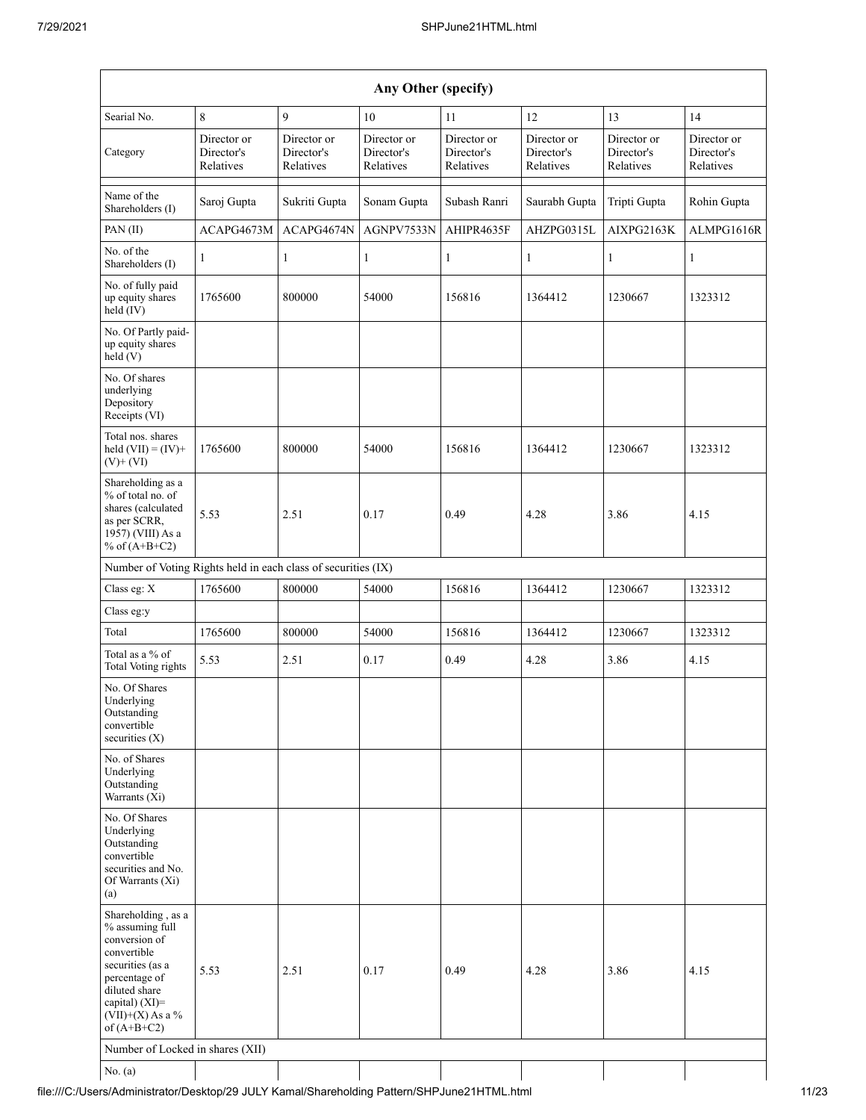| Any Other (specify)                                                                                                                                                                   |                                        |                                        |                                        |                                        |                                        |                                        |                                        |  |  |  |  |  |
|---------------------------------------------------------------------------------------------------------------------------------------------------------------------------------------|----------------------------------------|----------------------------------------|----------------------------------------|----------------------------------------|----------------------------------------|----------------------------------------|----------------------------------------|--|--|--|--|--|
| Searial No.                                                                                                                                                                           | 8                                      | 9                                      | 10                                     | 11                                     | 12                                     | 13                                     | 14                                     |  |  |  |  |  |
| Category                                                                                                                                                                              | Director or<br>Director's<br>Relatives | Director or<br>Director's<br>Relatives | Director or<br>Director's<br>Relatives | Director or<br>Director's<br>Relatives | Director or<br>Director's<br>Relatives | Director or<br>Director's<br>Relatives | Director or<br>Director's<br>Relatives |  |  |  |  |  |
| Name of the<br>Shareholders (I)                                                                                                                                                       | Saroj Gupta                            | Sukriti Gupta                          | Sonam Gupta                            | Subash Ranri                           | Saurabh Gupta                          | Tripti Gupta                           | Rohin Gupta                            |  |  |  |  |  |
| PAN(II)                                                                                                                                                                               | ACAPG4673M                             | ACAPG4674N                             | AGNPV7533N                             | AHIPR4635F                             | AHZPG0315L                             | AIXPG2163K                             | ALMPG1616R                             |  |  |  |  |  |
| No. of the<br>Shareholders (I)                                                                                                                                                        | $\mathbf{1}$                           | 1                                      | $\mathbf{1}$                           | $\mathbf{1}$                           | $\mathbf{1}$                           | $\mathbf{1}$                           | $\mathbf{1}$                           |  |  |  |  |  |
| No. of fully paid<br>up equity shares<br>$held$ (IV)                                                                                                                                  | 1765600                                | 800000                                 | 54000                                  | 156816                                 | 1364412                                | 1230667                                | 1323312                                |  |  |  |  |  |
| No. Of Partly paid-<br>up equity shares<br>held (V)                                                                                                                                   |                                        |                                        |                                        |                                        |                                        |                                        |                                        |  |  |  |  |  |
| No. Of shares<br>underlying<br>Depository<br>Receipts (VI)                                                                                                                            |                                        |                                        |                                        |                                        |                                        |                                        |                                        |  |  |  |  |  |
| Total nos. shares<br>held $(VII) = (IV) +$<br>$(V)$ + $(VI)$                                                                                                                          | 1765600                                | 800000                                 | 54000                                  | 156816                                 | 1364412                                | 1230667                                | 1323312                                |  |  |  |  |  |
| Shareholding as a<br>% of total no. of<br>shares (calculated<br>as per SCRR,<br>1957) (VIII) As a<br>% of $(A+B+C2)$                                                                  | 5.53                                   | 2.51                                   | 0.17                                   | 0.49                                   | 4.28                                   | 3.86                                   | 4.15                                   |  |  |  |  |  |
| Number of Voting Rights held in each class of securities (IX)                                                                                                                         |                                        |                                        |                                        |                                        |                                        |                                        |                                        |  |  |  |  |  |
| Class eg: X                                                                                                                                                                           | 1765600                                | 800000                                 | 54000                                  | 156816                                 | 1364412                                | 1230667                                | 1323312                                |  |  |  |  |  |
| Class eg:y                                                                                                                                                                            |                                        |                                        |                                        |                                        |                                        |                                        |                                        |  |  |  |  |  |
| Total                                                                                                                                                                                 | 1765600                                | 800000                                 | 54000                                  | 156816                                 | 1364412                                | 1230667                                | 1323312                                |  |  |  |  |  |
| Total as a % of<br>Total Voting rights                                                                                                                                                | 5.53                                   | 2.51                                   | 0.17                                   | 0.49                                   | 4.28                                   | 3.86                                   | 4.15                                   |  |  |  |  |  |
| No. Of Shares<br>Underlying<br>Outstanding<br>convertible<br>securities $(X)$                                                                                                         |                                        |                                        |                                        |                                        |                                        |                                        |                                        |  |  |  |  |  |
| No. of Shares<br>Underlying<br>Outstanding<br>Warrants (Xi)                                                                                                                           |                                        |                                        |                                        |                                        |                                        |                                        |                                        |  |  |  |  |  |
| No. Of Shares<br>Underlying<br>Outstanding<br>convertible<br>securities and No.<br>Of Warrants (Xi)<br>(a)                                                                            |                                        |                                        |                                        |                                        |                                        |                                        |                                        |  |  |  |  |  |
| Shareholding, as a<br>% assuming full<br>conversion of<br>convertible<br>securities (as a<br>percentage of<br>diluted share<br>capital) $(XI)$ =<br>(VII)+(X) As a %<br>of $(A+B+C2)$ | 5.53                                   | 2.51                                   | 0.17                                   | 0.49                                   | 4.28                                   | 3.86                                   | 4.15                                   |  |  |  |  |  |
| Number of Locked in shares (XII)                                                                                                                                                      |                                        |                                        |                                        |                                        |                                        |                                        |                                        |  |  |  |  |  |
| No. $(a)$                                                                                                                                                                             |                                        |                                        |                                        |                                        |                                        |                                        |                                        |  |  |  |  |  |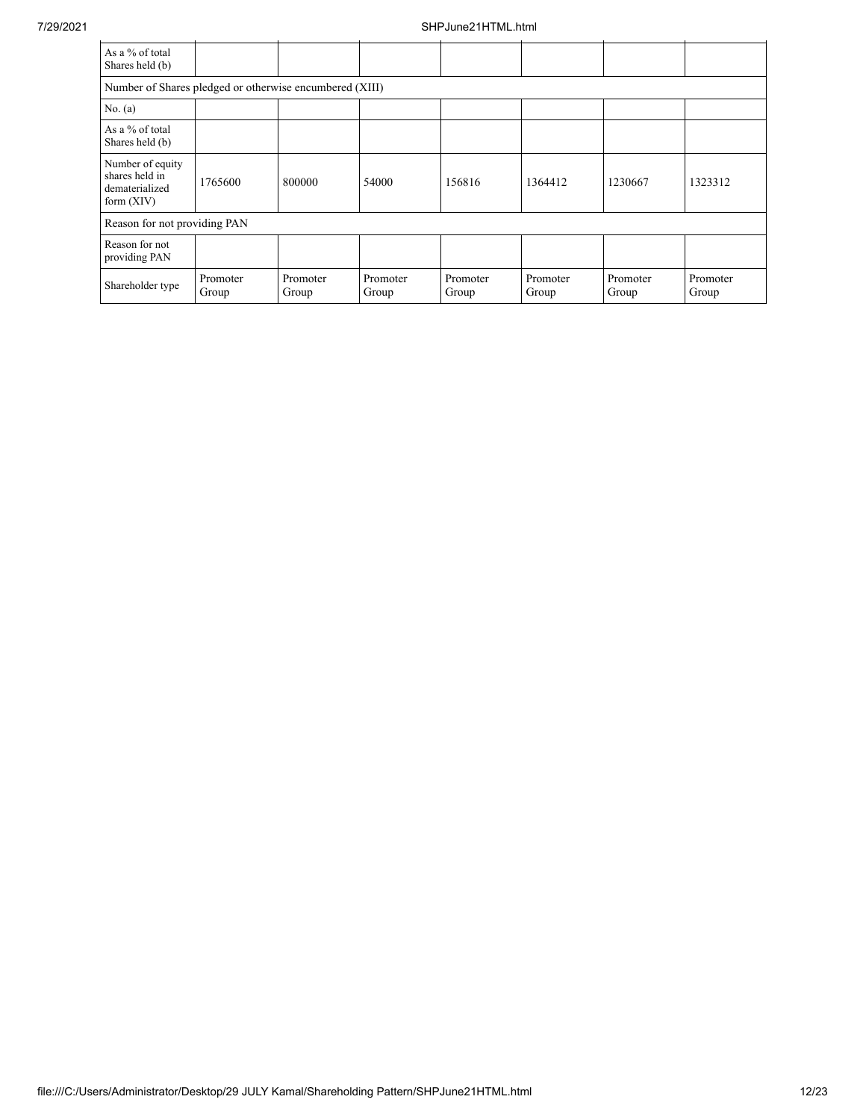| As a % of total<br>Shares held (b)                                   |                   |                   |                   |                   |                   |                   |                   |
|----------------------------------------------------------------------|-------------------|-------------------|-------------------|-------------------|-------------------|-------------------|-------------------|
| Number of Shares pledged or otherwise encumbered (XIII)              |                   |                   |                   |                   |                   |                   |                   |
| No. $(a)$                                                            |                   |                   |                   |                   |                   |                   |                   |
| As a % of total<br>Shares held (b)                                   |                   |                   |                   |                   |                   |                   |                   |
| Number of equity<br>shares held in<br>dematerialized<br>form $(XIV)$ | 1765600           | 800000            | 54000             | 156816            | 1364412           | 1230667           | 1323312           |
| Reason for not providing PAN                                         |                   |                   |                   |                   |                   |                   |                   |
| Reason for not<br>providing PAN                                      |                   |                   |                   |                   |                   |                   |                   |
| Shareholder type                                                     | Promoter<br>Group | Promoter<br>Group | Promoter<br>Group | Promoter<br>Group | Promoter<br>Group | Promoter<br>Group | Promoter<br>Group |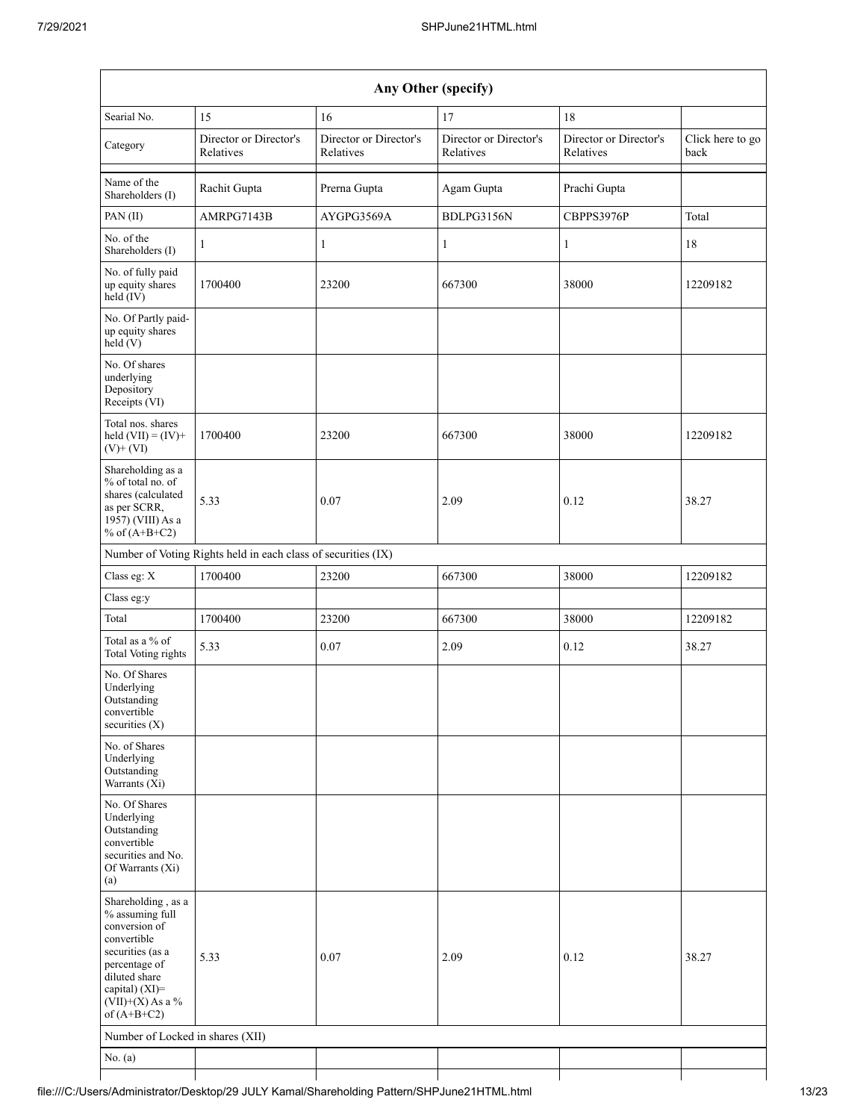|                                                                                                                                                                                      |                                                               |                                     | Any Other (specify)                 |                                     |                          |
|--------------------------------------------------------------------------------------------------------------------------------------------------------------------------------------|---------------------------------------------------------------|-------------------------------------|-------------------------------------|-------------------------------------|--------------------------|
| Searial No.                                                                                                                                                                          | 15                                                            | 16                                  | 17                                  | 18                                  |                          |
| Category                                                                                                                                                                             | Director or Director's<br>Relatives                           | Director or Director's<br>Relatives | Director or Director's<br>Relatives | Director or Director's<br>Relatives | Click here to go<br>back |
| Name of the<br>Shareholders (I)                                                                                                                                                      | Rachit Gupta                                                  | Prerna Gupta                        | Agam Gupta                          | Prachi Gupta                        |                          |
| PAN (II)                                                                                                                                                                             | AMRPG7143B                                                    | AYGPG3569A                          | BDLPG3156N                          | CBPPS3976P                          | Total                    |
| No. of the<br>Shareholders (I)                                                                                                                                                       | $\mathbf{1}$                                                  | 1                                   | $\mathbf{1}$                        | $\mathbf{1}$                        | 18                       |
| No. of fully paid<br>up equity shares<br>$held$ (IV)                                                                                                                                 | 1700400                                                       | 23200                               | 667300                              | 38000                               | 12209182                 |
| No. Of Partly paid-<br>up equity shares<br>held(V)                                                                                                                                   |                                                               |                                     |                                     |                                     |                          |
| No. Of shares<br>underlying<br>Depository<br>Receipts (VI)                                                                                                                           |                                                               |                                     |                                     |                                     |                          |
| Total nos. shares<br>held $(VII) = (IV) +$<br>$(V)$ + $(VI)$                                                                                                                         | 1700400                                                       | 23200                               | 667300                              | 38000                               | 12209182                 |
| Shareholding as a<br>% of total no. of<br>shares (calculated<br>as per SCRR,<br>1957) (VIII) As a<br>% of $(A+B+C2)$                                                                 | 5.33                                                          | 0.07                                | 2.09                                | 0.12                                | 38.27                    |
|                                                                                                                                                                                      | Number of Voting Rights held in each class of securities (IX) |                                     |                                     |                                     |                          |
| Class eg: X                                                                                                                                                                          | 1700400                                                       | 23200                               | 667300                              | 38000                               | 12209182                 |
| Class eg:y                                                                                                                                                                           |                                                               |                                     |                                     |                                     |                          |
| Total                                                                                                                                                                                | 1700400                                                       | 23200                               | 667300                              | 38000                               | 12209182                 |
| Total as a % of<br>Total Voting rights                                                                                                                                               | 5.33                                                          | 0.07                                | 2.09                                | 0.12                                | 38.27                    |
| No. Of Shares<br>Underlying<br>Outstanding<br>convertible<br>securities $(X)$                                                                                                        |                                                               |                                     |                                     |                                     |                          |
| No. of Shares<br>Underlying<br>Outstanding<br>Warrants (Xi)                                                                                                                          |                                                               |                                     |                                     |                                     |                          |
| No. Of Shares<br>Underlying<br>Outstanding<br>convertible<br>securities and No.<br>Of Warrants (Xi)<br>(a)                                                                           |                                                               |                                     |                                     |                                     |                          |
| Shareholding, as a<br>% assuming full<br>conversion of<br>convertible<br>securities (as a<br>percentage of<br>diluted share<br>capital) (XI)=<br>$(VII)+(X)$ As a %<br>of $(A+B+C2)$ | 5.33                                                          | 0.07                                | 2.09                                | 0.12                                | 38.27                    |
| Number of Locked in shares (XII)                                                                                                                                                     |                                                               |                                     |                                     |                                     |                          |
| No. $(a)$                                                                                                                                                                            |                                                               |                                     |                                     |                                     |                          |
|                                                                                                                                                                                      |                                                               |                                     |                                     |                                     |                          |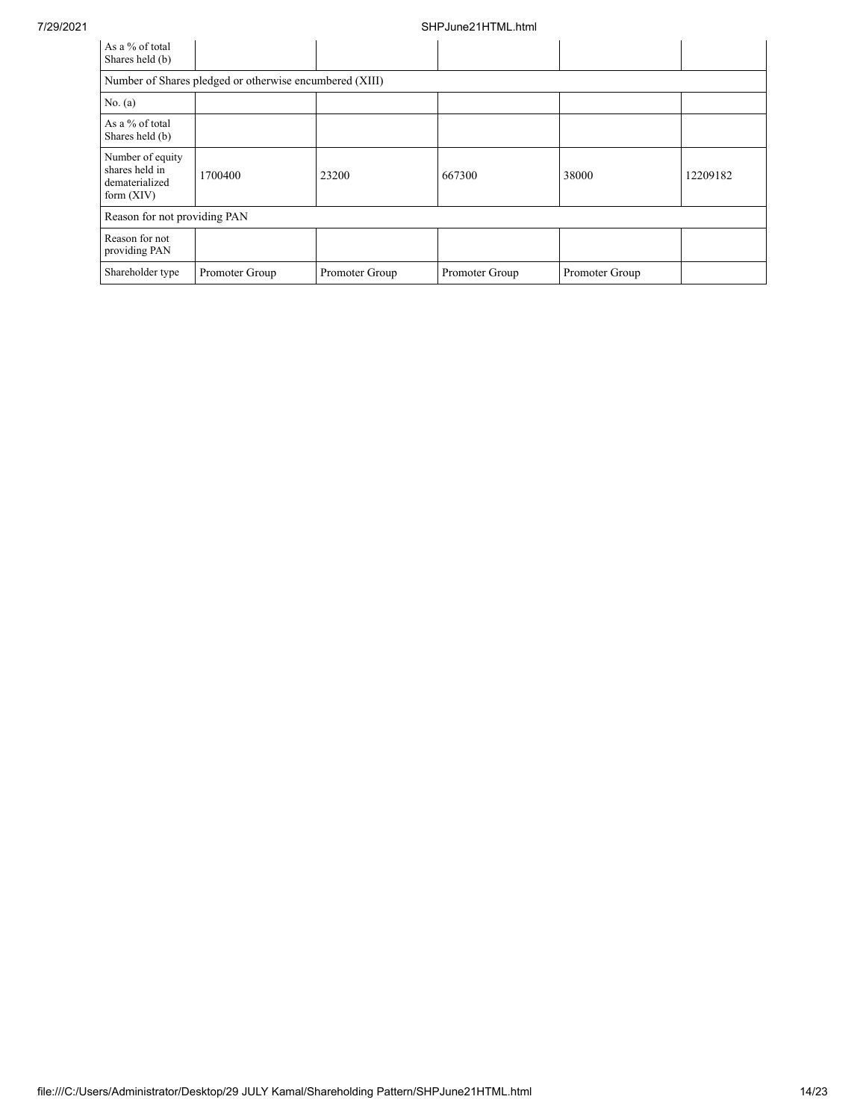## 7/29/2021 SHPJune21HTML.html

| As a % of total<br>Shares held (b)                                   |                                                         |                |                |                |          |
|----------------------------------------------------------------------|---------------------------------------------------------|----------------|----------------|----------------|----------|
|                                                                      | Number of Shares pledged or otherwise encumbered (XIII) |                |                |                |          |
| No. $(a)$                                                            |                                                         |                |                |                |          |
| As a % of total<br>Shares held (b)                                   |                                                         |                |                |                |          |
| Number of equity<br>shares held in<br>dematerialized<br>form $(XIV)$ | 1700400                                                 | 23200          | 667300         | 38000          | 12209182 |
| Reason for not providing PAN                                         |                                                         |                |                |                |          |
| Reason for not<br>providing PAN                                      |                                                         |                |                |                |          |
| Shareholder type                                                     | Promoter Group                                          | Promoter Group | Promoter Group | Promoter Group |          |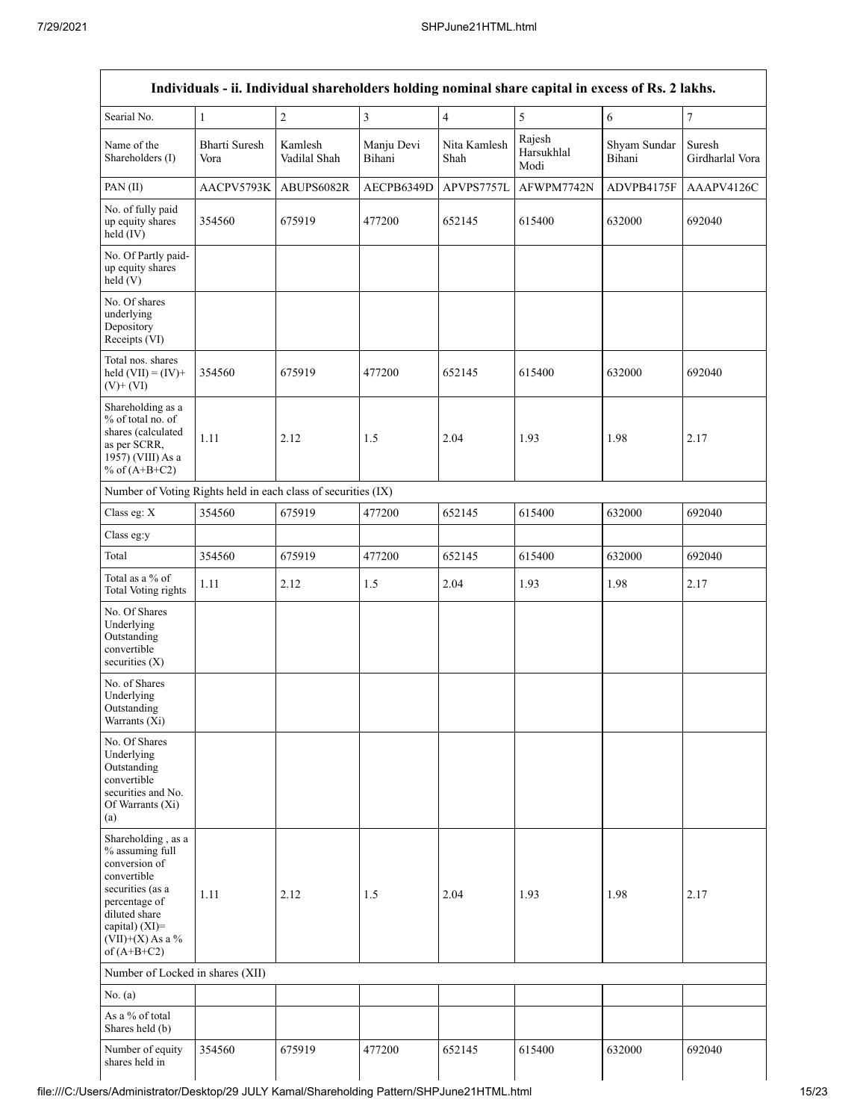| Individuals - ii. Individual shareholders holding nominal share capital in excess of Rs. 2 lakhs.                                                                                    |                       |                         |                         |                         |                              |                        |                           |
|--------------------------------------------------------------------------------------------------------------------------------------------------------------------------------------|-----------------------|-------------------------|-------------------------|-------------------------|------------------------------|------------------------|---------------------------|
| Searial No.                                                                                                                                                                          | $\mathbf{1}$          | $\sqrt{2}$              | $\overline{\mathbf{3}}$ | $\overline{\mathbf{4}}$ | 5                            | $\sqrt{6}$             | $\boldsymbol{7}$          |
| Name of the<br>Shareholders (I)                                                                                                                                                      | Bharti Suresh<br>Vora | Kamlesh<br>Vadilal Shah | Manju Devi<br>Bihani    | Nita Kamlesh<br>Shah    | Rajesh<br>Harsukhlal<br>Modi | Shyam Sundar<br>Bihani | Suresh<br>Girdharlal Vora |
| PAN(II)                                                                                                                                                                              | AACPV5793K            | ABUPS6082R              | AECPB6349D              | APVPS7757L              | AFWPM7742N                   | ADVPB4175F             | AAAPV4126C                |
| No. of fully paid<br>up equity shares<br>held $(IV)$                                                                                                                                 | 354560                | 675919                  | 477200                  | 652145                  | 615400                       | 632000                 | 692040                    |
| No. Of Partly paid-<br>up equity shares<br>held(V)                                                                                                                                   |                       |                         |                         |                         |                              |                        |                           |
| No. Of shares<br>underlying<br>Depository<br>Receipts (VI)                                                                                                                           |                       |                         |                         |                         |                              |                        |                           |
| Total nos. shares<br>held $(VII) = (IV) +$<br>$(V)$ + $(VI)$                                                                                                                         | 354560                | 675919                  | 477200                  | 652145                  | 615400                       | 632000                 | 692040                    |
| Shareholding as a<br>% of total no. of<br>shares (calculated<br>as per SCRR,<br>1957) (VIII) As a<br>% of $(A+B+C2)$                                                                 | 1.11                  | 2.12                    | 1.5                     | 2.04                    | 1.93                         | 1.98                   | 2.17                      |
| Number of Voting Rights held in each class of securities (IX)                                                                                                                        |                       |                         |                         |                         |                              |                        |                           |
| Class eg: X                                                                                                                                                                          | 354560                | 675919                  | 477200                  | 652145                  | 615400                       | 632000                 | 692040                    |
| Class eg:y                                                                                                                                                                           |                       |                         |                         |                         |                              |                        |                           |
| Total                                                                                                                                                                                | 354560                | 675919                  | 477200                  | 652145                  | 615400                       | 632000                 | 692040                    |
| Total as a % of<br>Total Voting rights                                                                                                                                               | 1.11                  | 2.12                    | 1.5                     | 2.04                    | 1.93                         | 1.98                   | 2.17                      |
| No. Of Shares<br>Underlying<br>Outstanding<br>convertible<br>securities $(X)$                                                                                                        |                       |                         |                         |                         |                              |                        |                           |
| No. of Shares<br>Underlying<br>Outstanding<br>Warrants (Xi)                                                                                                                          |                       |                         |                         |                         |                              |                        |                           |
| No. Of Shares<br>Underlying<br>Outstanding<br>convertible<br>securities and No.<br>Of Warrants (Xi)<br>(a)                                                                           |                       |                         |                         |                         |                              |                        |                           |
| Shareholding, as a<br>% assuming full<br>conversion of<br>convertible<br>securities (as a<br>percentage of<br>diluted share<br>capital) (XI)=<br>$(VII)+(X)$ As a %<br>of $(A+B+C2)$ | 1.11                  | 2.12                    | 1.5                     | 2.04                    | 1.93                         | 1.98                   | 2.17                      |
| Number of Locked in shares (XII)                                                                                                                                                     |                       |                         |                         |                         |                              |                        |                           |
| No. (a)                                                                                                                                                                              |                       |                         |                         |                         |                              |                        |                           |
| As a % of total<br>Shares held (b)                                                                                                                                                   |                       |                         |                         |                         |                              |                        |                           |
| Number of equity<br>shares held in                                                                                                                                                   | 354560                | 675919                  | 477200                  | 652145                  | 615400                       | 632000                 | 692040                    |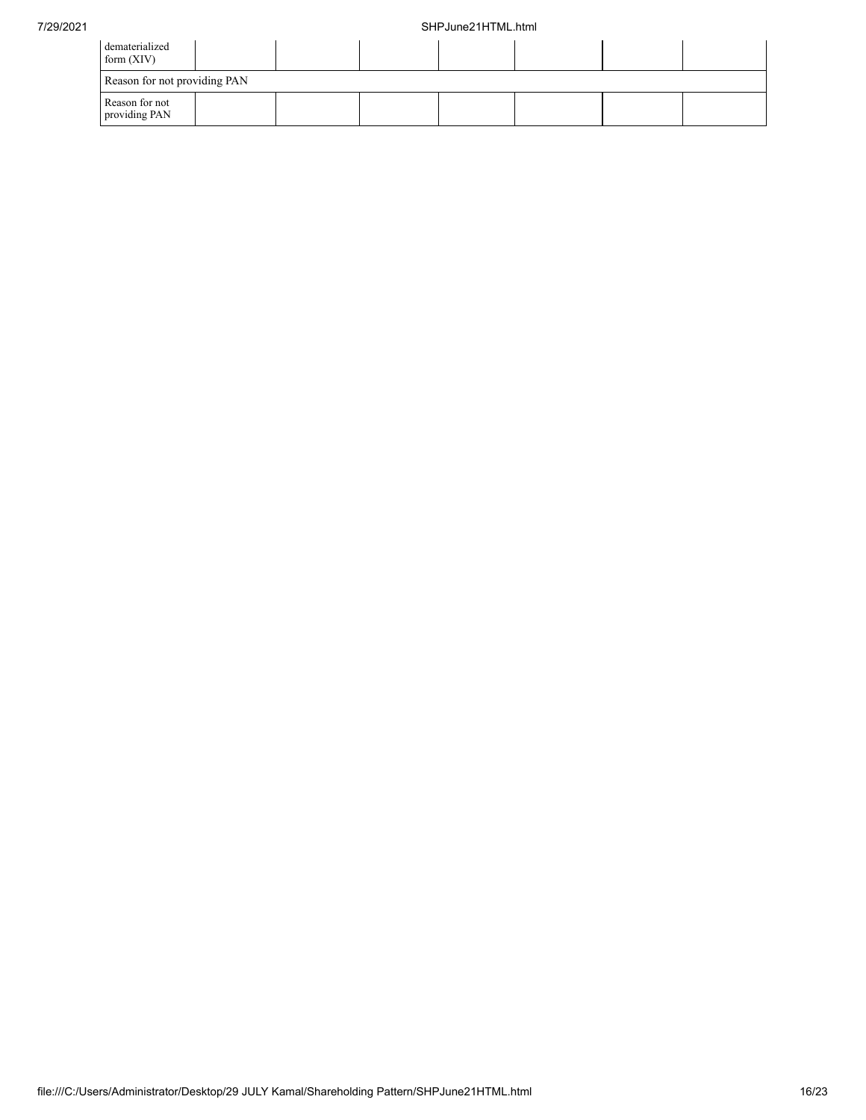| dematerialized<br>form $(XIV)$  |  |  |  |  |
|---------------------------------|--|--|--|--|
| Reason for not providing PAN    |  |  |  |  |
| Reason for not<br>providing PAN |  |  |  |  |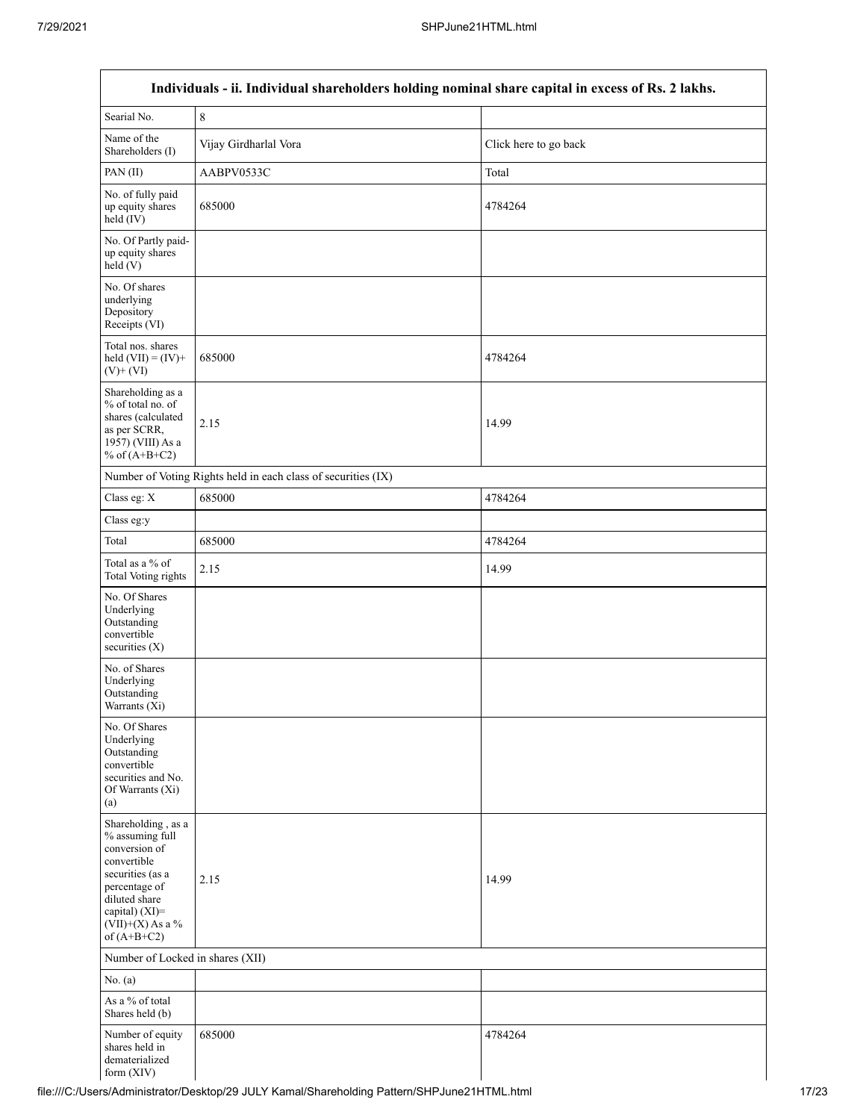| Individuals - ii. Individual shareholders holding nominal share capital in excess of Rs. 2 lakhs.                                                                                    |                                                               |                       |  |  |  |
|--------------------------------------------------------------------------------------------------------------------------------------------------------------------------------------|---------------------------------------------------------------|-----------------------|--|--|--|
| Searial No.                                                                                                                                                                          | $\,$ 8 $\,$                                                   |                       |  |  |  |
| Name of the<br>Shareholders (I)                                                                                                                                                      | Vijay Girdharlal Vora                                         | Click here to go back |  |  |  |
| PAN(II)                                                                                                                                                                              | AABPV0533C                                                    | Total                 |  |  |  |
| No. of fully paid<br>up equity shares<br>$held$ (IV)                                                                                                                                 | 685000                                                        | 4784264               |  |  |  |
| No. Of Partly paid-<br>up equity shares<br>held(V)                                                                                                                                   |                                                               |                       |  |  |  |
| No. Of shares<br>underlying<br>Depository<br>Receipts (VI)                                                                                                                           |                                                               |                       |  |  |  |
| Total nos. shares<br>held $(VII) = (IV) +$<br>$(V)$ + $(VI)$                                                                                                                         | 685000                                                        | 4784264               |  |  |  |
| Shareholding as a<br>% of total no. of<br>shares (calculated<br>as per SCRR,<br>1957) (VIII) As a<br>% of $(A+B+C2)$                                                                 | 2.15                                                          | 14.99                 |  |  |  |
|                                                                                                                                                                                      | Number of Voting Rights held in each class of securities (IX) |                       |  |  |  |
| Class eg: X                                                                                                                                                                          | 685000                                                        | 4784264               |  |  |  |
| Class eg:y                                                                                                                                                                           |                                                               |                       |  |  |  |
| Total                                                                                                                                                                                | 685000                                                        | 4784264               |  |  |  |
| Total as a % of<br><b>Total Voting rights</b>                                                                                                                                        | 2.15                                                          | 14.99                 |  |  |  |
| No. Of Shares<br>Underlying<br>Outstanding<br>convertible<br>securities $(X)$                                                                                                        |                                                               |                       |  |  |  |
| No. of Shares<br>Underlying<br>Outstanding<br>Warrants (Xi)                                                                                                                          |                                                               |                       |  |  |  |
| No. Of Shares<br>Underlying<br>Outstanding<br>convertible<br>securities and No.<br>Of Warrants (Xi)<br>(a)                                                                           |                                                               |                       |  |  |  |
| Shareholding, as a<br>% assuming full<br>conversion of<br>convertible<br>securities (as a<br>percentage of<br>diluted share<br>capital) (XI)=<br>$(VII)+(X)$ As a %<br>of $(A+B+C2)$ | 2.15                                                          | 14.99                 |  |  |  |
| Number of Locked in shares (XII)                                                                                                                                                     |                                                               |                       |  |  |  |
| No. (a)                                                                                                                                                                              |                                                               |                       |  |  |  |
| As a % of total<br>Shares held (b)                                                                                                                                                   |                                                               |                       |  |  |  |
| Number of equity<br>shares held in<br>dematerialized<br>form (XIV)                                                                                                                   | 685000                                                        | 4784264               |  |  |  |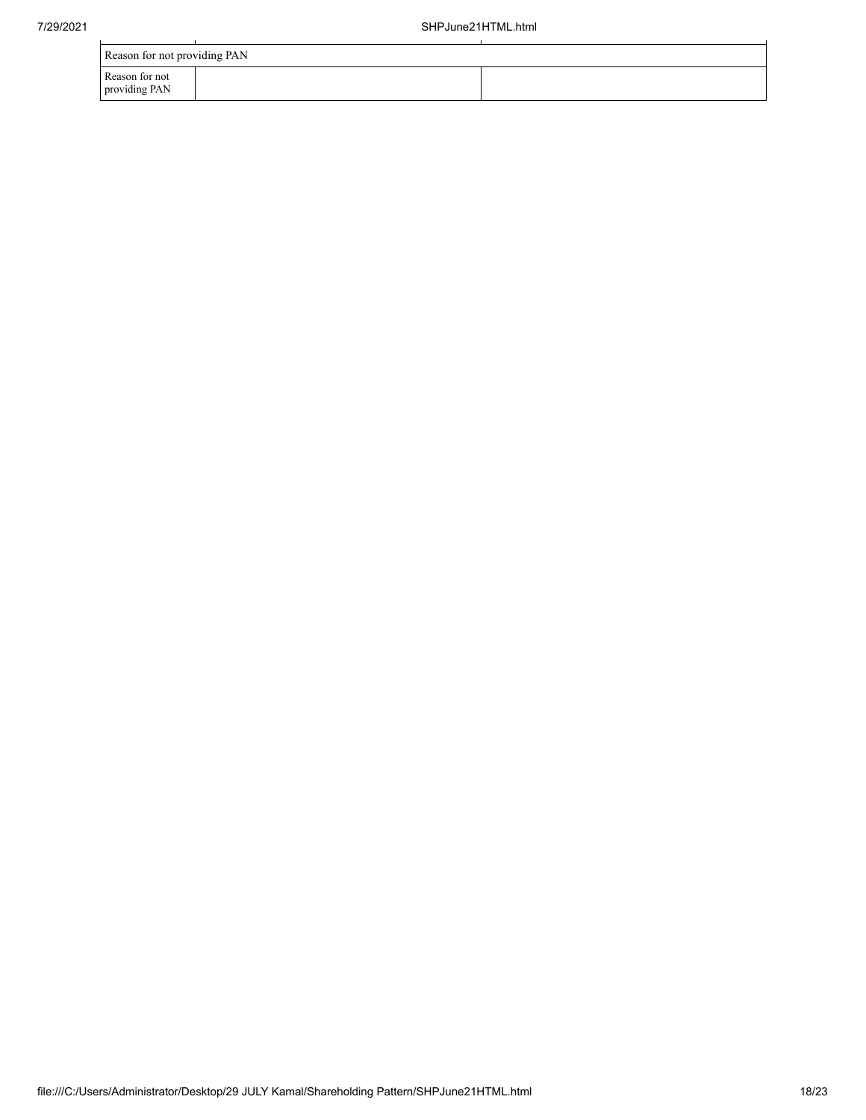|                                 | Reason for not providing PAN |  |  |  |  |  |
|---------------------------------|------------------------------|--|--|--|--|--|
| Reason for not<br>providing PAN |                              |  |  |  |  |  |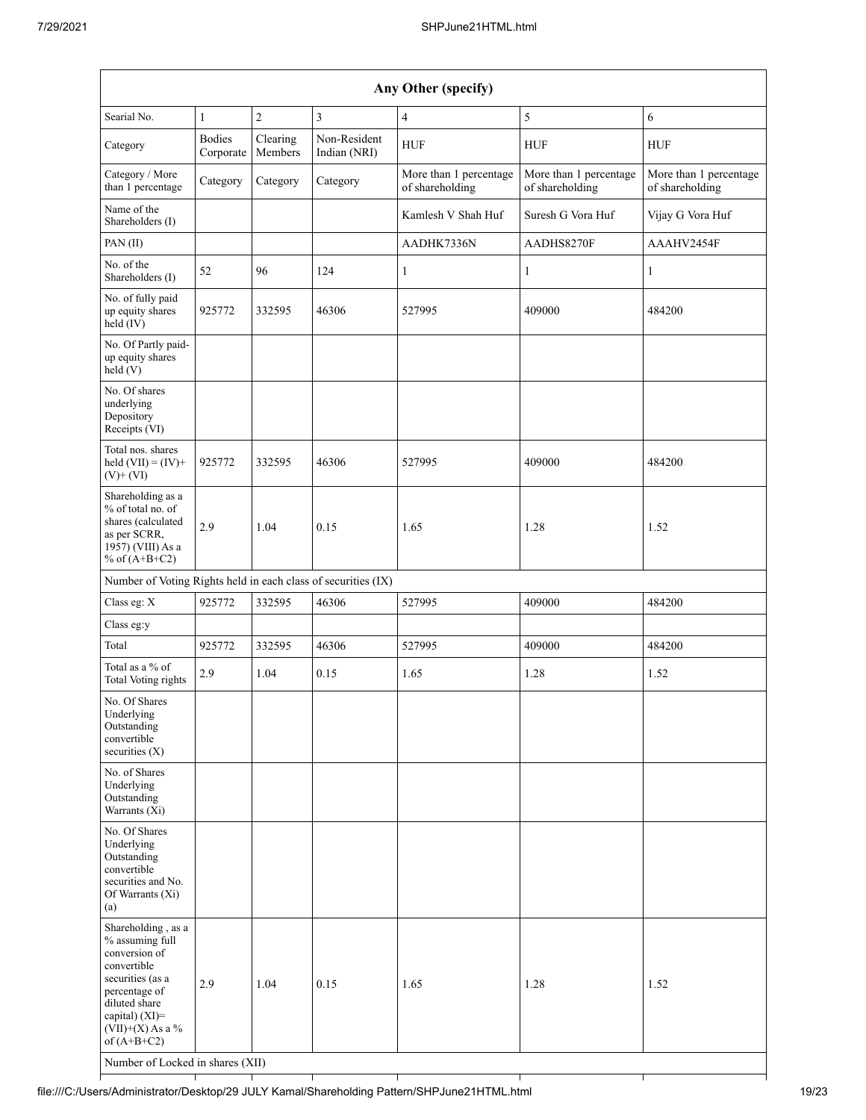| Any Other (specify)                                                                                                                                                                                                         |                            |                     |                              |                                           |                                           |                                           |
|-----------------------------------------------------------------------------------------------------------------------------------------------------------------------------------------------------------------------------|----------------------------|---------------------|------------------------------|-------------------------------------------|-------------------------------------------|-------------------------------------------|
| Searial No.                                                                                                                                                                                                                 | $\mathbf{1}$               | $\overline{2}$      | $\mathfrak{Z}$               | $\overline{4}$                            | 5                                         | $\sqrt{6}$                                |
| Category                                                                                                                                                                                                                    | <b>Bodies</b><br>Corporate | Clearing<br>Members | Non-Resident<br>Indian (NRI) | <b>HUF</b>                                | <b>HUF</b>                                | <b>HUF</b>                                |
| Category / More<br>than 1 percentage                                                                                                                                                                                        | Category                   | Category            | Category                     | More than 1 percentage<br>of shareholding | More than 1 percentage<br>of shareholding | More than 1 percentage<br>of shareholding |
| Name of the<br>Shareholders (I)                                                                                                                                                                                             |                            |                     |                              | Kamlesh V Shah Huf                        | Suresh G Vora Huf                         | Vijay G Vora Huf                          |
| PAN (II)                                                                                                                                                                                                                    |                            |                     |                              | AADHK7336N                                | AADHS8270F                                | AAAHV2454F                                |
| No. of the<br>Shareholders (I)                                                                                                                                                                                              | 52                         | 96                  | 124                          | $\mathbf{1}$                              | $\mathbf{1}$                              | $\mathbf{1}$                              |
| No. of fully paid<br>up equity shares<br>$held$ (IV)                                                                                                                                                                        | 925772                     | 332595              | 46306                        | 527995                                    | 409000                                    | 484200                                    |
| No. Of Partly paid-<br>up equity shares<br>held (V)                                                                                                                                                                         |                            |                     |                              |                                           |                                           |                                           |
| No. Of shares<br>underlying<br>Depository<br>Receipts (VI)                                                                                                                                                                  |                            |                     |                              |                                           |                                           |                                           |
| Total nos. shares<br>held $(VII) = (IV) +$<br>$(V)$ + $(VI)$                                                                                                                                                                | 925772                     | 332595              | 46306                        | 527995                                    | 409000                                    | 484200                                    |
| Shareholding as a<br>% of total no. of<br>shares (calculated<br>as per SCRR,<br>1957) (VIII) As a<br>% of $(A+B+C2)$                                                                                                        | 2.9                        | 1.04                | 0.15                         | 1.65                                      | 1.28                                      | 1.52                                      |
| Number of Voting Rights held in each class of securities (IX)                                                                                                                                                               |                            |                     |                              |                                           |                                           |                                           |
| Class eg: X                                                                                                                                                                                                                 | 925772                     | 332595              | 46306                        | 527995                                    | 409000                                    | 484200                                    |
| Class eg:y                                                                                                                                                                                                                  |                            |                     |                              |                                           |                                           |                                           |
| Total                                                                                                                                                                                                                       | 925772                     | 332595              | 46306                        | 527995                                    | 409000                                    | 484200                                    |
| Total as a % of<br>Total Voting rights                                                                                                                                                                                      | 2.9                        | 1.04                | 0.15                         | 1.65                                      | 1.28                                      | 1.52                                      |
| No. Of Shares<br>Underlying<br>Outstanding<br>convertible<br>securities $(X)$                                                                                                                                               |                            |                     |                              |                                           |                                           |                                           |
| No. of Shares<br>Underlying<br>Outstanding<br>Warrants (Xi)                                                                                                                                                                 |                            |                     |                              |                                           |                                           |                                           |
| No. Of Shares<br>Underlying<br>Outstanding<br>convertible<br>securities and No.<br>Of Warrants (Xi)<br>(a)                                                                                                                  |                            |                     |                              |                                           |                                           |                                           |
| Shareholding, as a<br>% assuming full<br>conversion of<br>convertible<br>securities (as a<br>percentage of<br>diluted share<br>capital) $(XI)$ =<br>$(VII)+(X)$ As a %<br>of $(A+B+C2)$<br>Number of Locked in shares (XII) | 2.9                        | 1.04                | 0.15                         | 1.65                                      | 1.28                                      | 1.52                                      |
|                                                                                                                                                                                                                             |                            |                     |                              |                                           |                                           |                                           |

⊤

Τ

┯

т

┯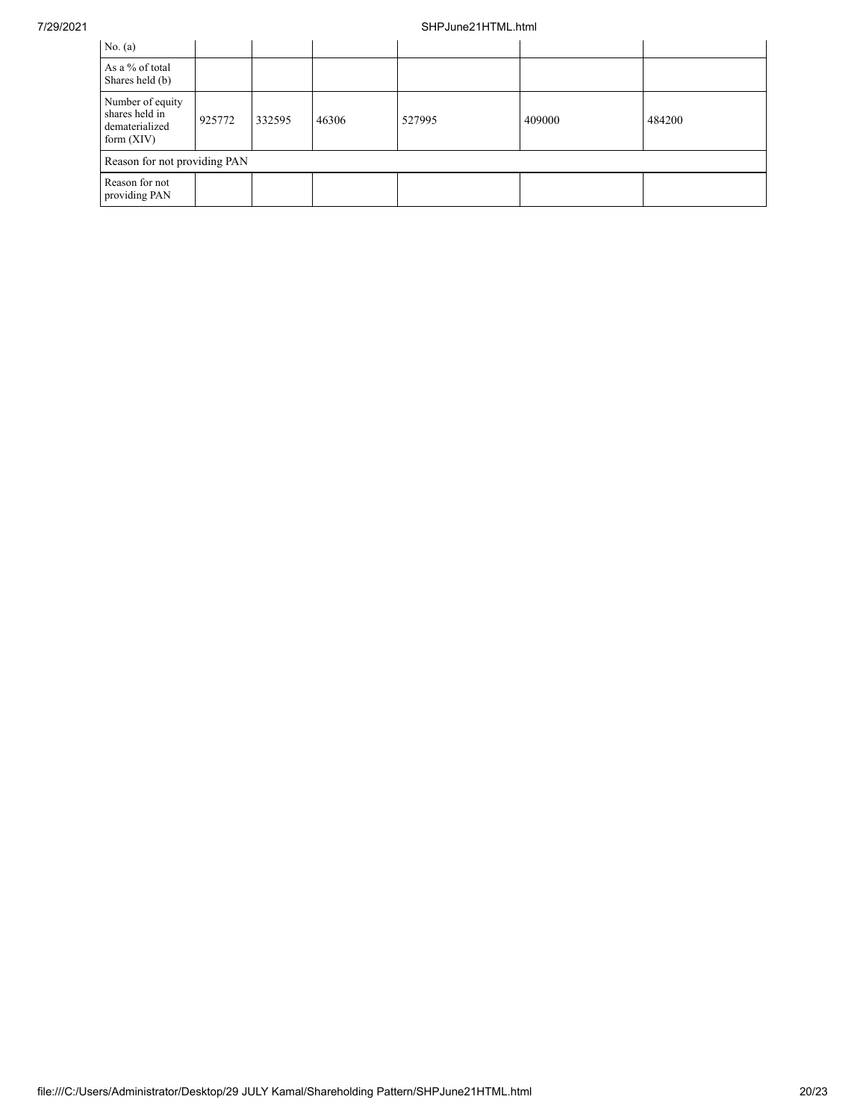## 7/29/2021 SHPJune21HTML.html

| No. $(a)$                                                            |        |        |       |        |        |        |
|----------------------------------------------------------------------|--------|--------|-------|--------|--------|--------|
| As a % of total<br>Shares held (b)                                   |        |        |       |        |        |        |
| Number of equity<br>shares held in<br>dematerialized<br>form $(XIV)$ | 925772 | 332595 | 46306 | 527995 | 409000 | 484200 |
| Reason for not providing PAN                                         |        |        |       |        |        |        |
| Reason for not<br>providing PAN                                      |        |        |       |        |        |        |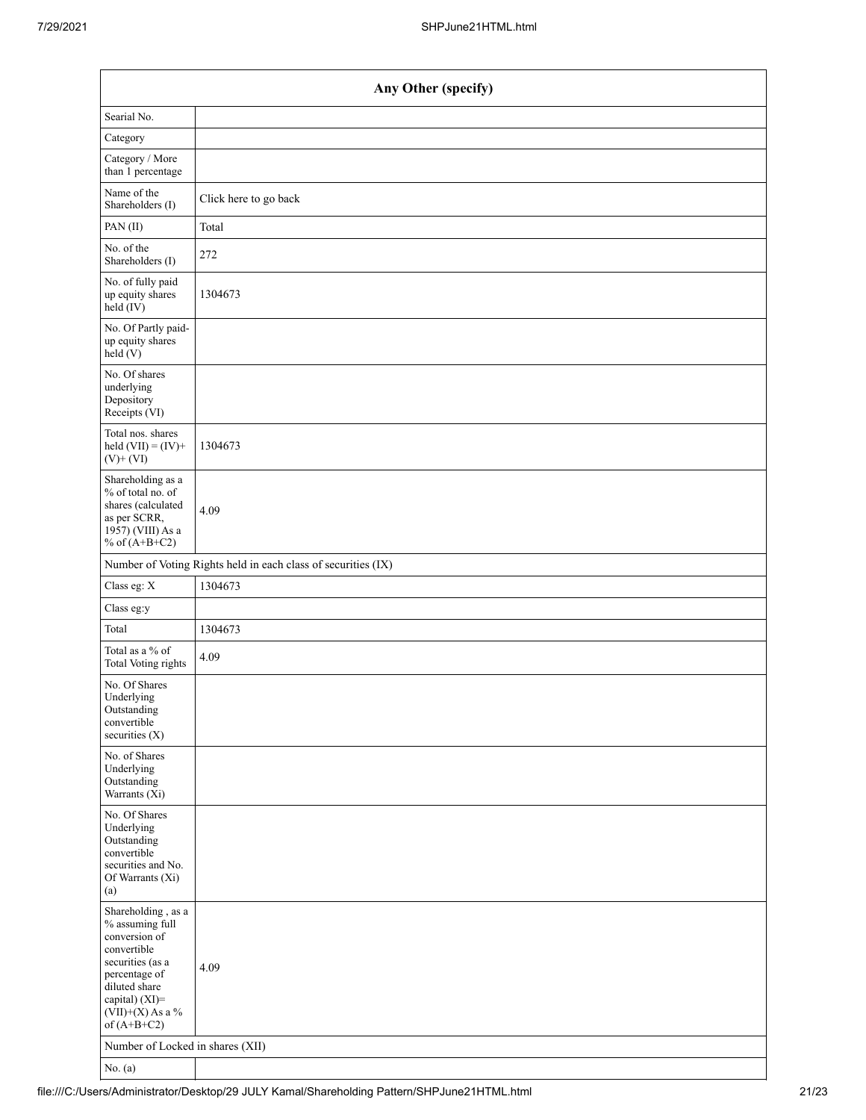| Any Other (specify)                                                                                                                                                                  |                                                               |  |  |  |  |  |
|--------------------------------------------------------------------------------------------------------------------------------------------------------------------------------------|---------------------------------------------------------------|--|--|--|--|--|
| Searial No.                                                                                                                                                                          |                                                               |  |  |  |  |  |
| Category                                                                                                                                                                             |                                                               |  |  |  |  |  |
| Category / More<br>than 1 percentage                                                                                                                                                 |                                                               |  |  |  |  |  |
| Name of the<br>Shareholders (I)                                                                                                                                                      | Click here to go back                                         |  |  |  |  |  |
| PAN(II)                                                                                                                                                                              | Total                                                         |  |  |  |  |  |
| No. of the<br>Shareholders (I)                                                                                                                                                       | 272                                                           |  |  |  |  |  |
| No. of fully paid<br>up equity shares<br>$held$ (IV)                                                                                                                                 | 1304673                                                       |  |  |  |  |  |
| No. Of Partly paid-<br>up equity shares<br>held(V)                                                                                                                                   |                                                               |  |  |  |  |  |
| No. Of shares<br>underlying<br>Depository<br>Receipts (VI)                                                                                                                           |                                                               |  |  |  |  |  |
| Total nos. shares<br>held $(VII) = (IV) +$<br>$(V)$ + $(VI)$                                                                                                                         | 1304673                                                       |  |  |  |  |  |
| Shareholding as a<br>% of total no. of<br>shares (calculated<br>as per SCRR,<br>1957) (VIII) As a<br>% of $(A+B+C2)$                                                                 | 4.09                                                          |  |  |  |  |  |
|                                                                                                                                                                                      | Number of Voting Rights held in each class of securities (IX) |  |  |  |  |  |
| Class eg: X                                                                                                                                                                          | 1304673                                                       |  |  |  |  |  |
| Class eg:y                                                                                                                                                                           |                                                               |  |  |  |  |  |
| Total                                                                                                                                                                                | 1304673                                                       |  |  |  |  |  |
| Total as a % of<br>Total Voting rights                                                                                                                                               | 4.09                                                          |  |  |  |  |  |
| No. Of Shares<br>Underlying<br>Outstanding<br>convertible<br>securities $(X)$                                                                                                        |                                                               |  |  |  |  |  |
| No. of Shares<br>Underlying<br>Outstanding<br>Warrants (Xi)                                                                                                                          |                                                               |  |  |  |  |  |
| No. Of Shares<br>Underlying<br>Outstanding<br>convertible<br>securities and No.<br>Of Warrants (Xi)<br>(a)                                                                           |                                                               |  |  |  |  |  |
| Shareholding, as a<br>% assuming full<br>conversion of<br>convertible<br>securities (as a<br>percentage of<br>diluted share<br>capital) (XI)=<br>$(VII)+(X)$ As a %<br>of $(A+B+C2)$ | 4.09                                                          |  |  |  |  |  |
| Number of Locked in shares (XII)                                                                                                                                                     |                                                               |  |  |  |  |  |
| No. $(a)$                                                                                                                                                                            |                                                               |  |  |  |  |  |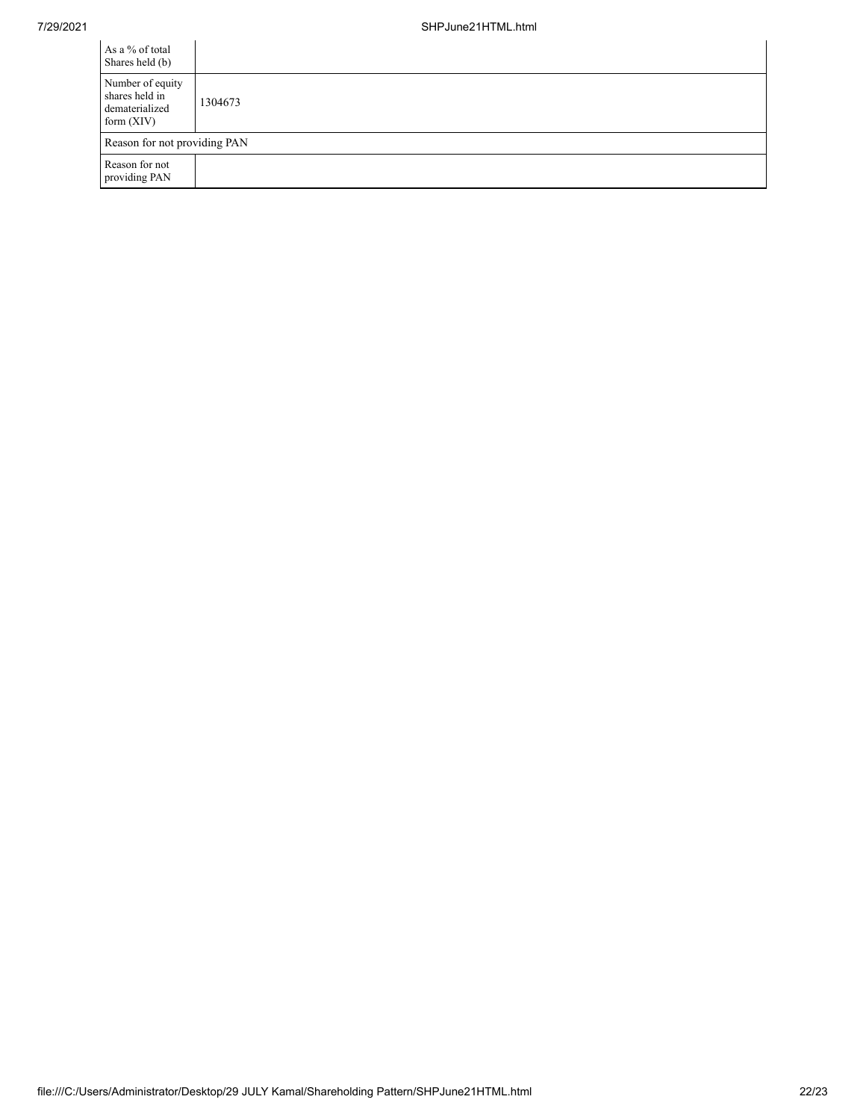| As a % of total<br>Shares held (b)                                   |         |
|----------------------------------------------------------------------|---------|
| Number of equity<br>shares held in<br>dematerialized<br>form $(XIV)$ | 1304673 |
| Reason for not providing PAN                                         |         |
| Reason for not<br>providing PAN                                      |         |